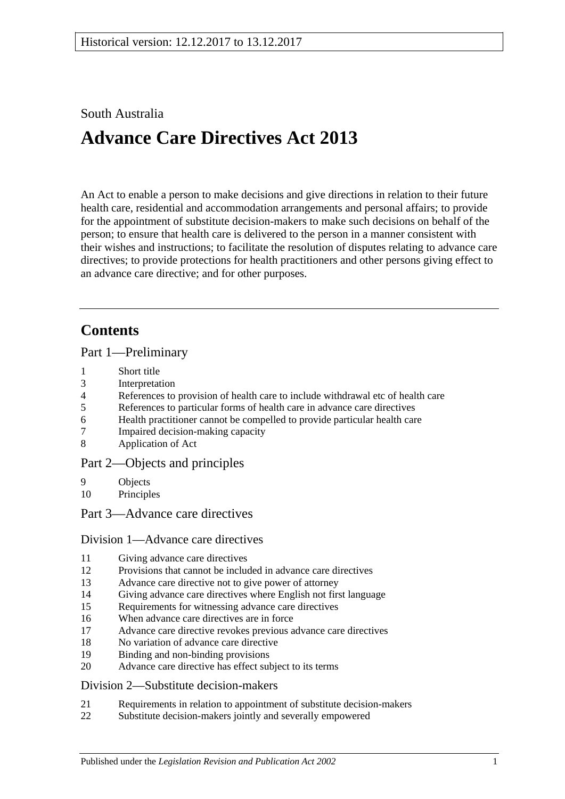## South Australia

# **Advance Care Directives Act 2013**

An Act to enable a person to make decisions and give directions in relation to their future health care, residential and accommodation arrangements and personal affairs; to provide for the appointment of substitute decision-makers to make such decisions on behalf of the person; to ensure that health care is delivered to the person in a manner consistent with their wishes and instructions; to facilitate the resolution of disputes relating to advance care directives; to provide protections for health practitioners and other persons giving effect to an advance care directive; and for other purposes.

# **Contents**

Part [1—Preliminary](#page-2-0)

- 1 [Short title](#page-2-1)
- 3 [Interpretation](#page-3-0)
- 4 [References to provision of health care to include withdrawal etc of health care](#page-4-0)
- 5 [References to particular forms of health care in advance care directives](#page-4-1)
- 6 [Health practitioner cannot be compelled to provide](#page-4-2) particular health care
- 7 [Impaired decision-making capacity](#page-5-0)
- 8 [Application of Act](#page-5-1)

## Part [2—Objects and principles](#page-5-2)

- 9 [Objects](#page-5-3)
- 10 [Principles](#page-6-0)

Part [3—Advance care directives](#page-7-0)

## Division [1—Advance care directives](#page-7-1)

- 11 [Giving advance care directives](#page-7-2)
- 12 [Provisions that cannot be included in advance care directives](#page-8-0)
- 13 [Advance care directive not to give power of attorney](#page-9-0)
- 14 [Giving advance care directives where English not first language](#page-9-1)
- 15 [Requirements for witnessing advance care directives](#page-10-0)
- 16 [When advance care directives are in force](#page-11-0)
- 17 [Advance care directive revokes previous advance care directives](#page-11-1)
- 18 [No variation of advance care directive](#page-11-2)
- 19 [Binding and non-binding provisions](#page-11-3)
- 20 [Advance care directive has effect subject to its terms](#page-12-0)

## Division [2—Substitute decision-makers](#page-12-1)

- 21 [Requirements in relation to appointment of substitute decision-makers](#page-12-2)
- 22 [Substitute decision-makers jointly and severally empowered](#page-12-3)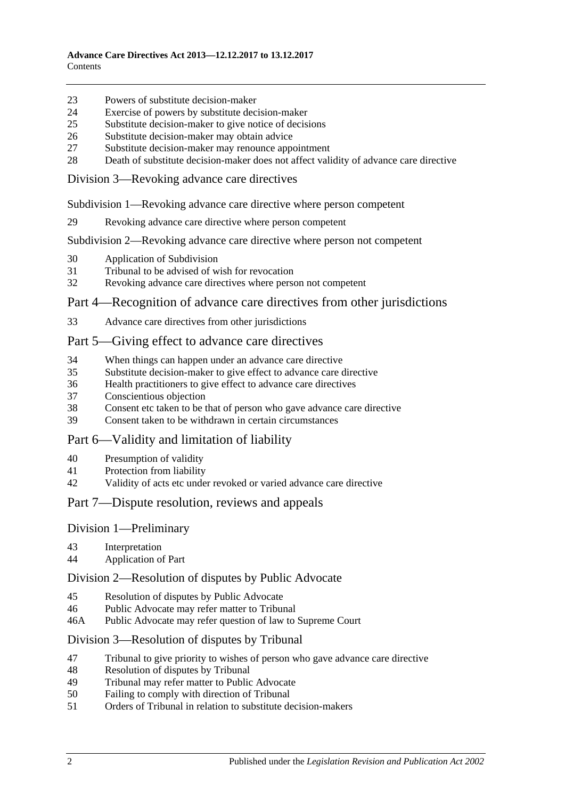- [Powers of substitute decision-maker](#page-12-4)
- [Exercise of powers by substitute decision-maker](#page-13-0)
- [Substitute decision-maker to give notice of decisions](#page-13-1)
- [Substitute decision-maker may obtain advice](#page-13-2)
- [Substitute decision-maker may renounce appointment](#page-14-0)
- [Death of substitute decision-maker does not affect validity of advance care directive](#page-14-1)

Division [3—Revoking advance care directives](#page-14-2)

Subdivision [1—Revoking advance care directive where person competent](#page-14-3)

[Revoking advance care directive where person competent](#page-14-4)

Subdivision [2—Revoking advance care directive where person not competent](#page-15-0)

- [Application of Subdivision](#page-15-1)
- [Tribunal to be advised of wish for revocation](#page-15-2)
- [Revoking advance care directives where person not competent](#page-15-3)

#### Part [4—Recognition of advance care directives from other jurisdictions](#page-16-0)

[Advance care directives from other jurisdictions](#page-16-1)

## Part [5—Giving effect to advance care directives](#page-17-0)

- [When things can happen under an advance care directive](#page-17-1)
- [Substitute decision-maker to give effect to advance care directive](#page-17-2)
- [Health practitioners to give effect to advance care directives](#page-18-0)
- [Conscientious objection](#page-19-0)
- [Consent etc taken to be that of person who gave advance care directive](#page-19-1)<br>39 Consent taken to be withdrawn in certain circumstances
- [Consent taken to be withdrawn in certain circumstances](#page-19-2)

## Part [6—Validity and limitation of liability](#page-19-3)

- [Presumption of validity](#page-19-4)
- [Protection from liability](#page-19-5)
- [Validity of acts etc under revoked or varied advance care directive](#page-20-0)

#### Part [7—Dispute resolution, reviews and appeals](#page-20-1)

## Division [1—Preliminary](#page-20-2)

- [Interpretation](#page-20-3)
- [Application of Part](#page-20-4)

#### Division [2—Resolution of disputes by Public Advocate](#page-20-5)

- [Resolution of disputes by Public Advocate](#page-20-6)
- [Public Advocate may refer matter to Tribunal](#page-22-0)
- 46A [Public Advocate may refer question of law to Supreme Court](#page-22-1)

#### Division [3—Resolution of disputes by Tribunal](#page-22-2)

- [Tribunal to give priority to wishes of person who gave advance care directive](#page-22-3)
- [Resolution of disputes by Tribunal](#page-22-4)
- [Tribunal may refer matter to Public Advocate](#page-23-0)
- [Failing to comply with direction of Tribunal](#page-23-1)
- [Orders of Tribunal in relation to substitute decision-makers](#page-23-2)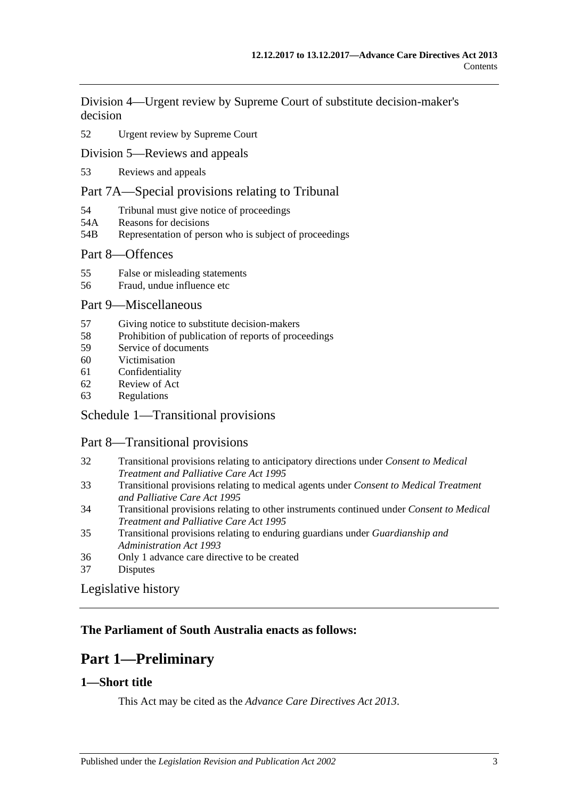Division [4—Urgent review by Supreme Court of substitute decision-maker's](#page-24-0)  [decision](#page-24-0)

## 52 [Urgent review by Supreme Court](#page-24-1)

[Division 5—Reviews and appeals](#page-25-0)

53 [Reviews and appeals](#page-25-1)

## [Part 7A—Special provisions relating to Tribunal](#page-26-0)

- 54 [Tribunal must give notice of proceedings](#page-26-1)
- 54A [Reasons for decisions](#page-26-2)
- 54B [Representation of person who is subject of proceedings](#page-27-0)

## Part [8—Offences](#page-27-1)

- 55 [False or misleading statements](#page-27-2)
- 56 [Fraud, undue influence etc](#page-27-3)

## Part [9—Miscellaneous](#page-28-0)

- 57 [Giving notice to substitute decision-makers](#page-28-1)
- 58 [Prohibition of publication of reports of proceedings](#page-28-2)
- 59 [Service of documents](#page-29-0)
- 60 [Victimisation](#page-29-1)
- 61 [Confidentiality](#page-30-0)
- 62 [Review of Act](#page-30-1)
- 63 [Regulations](#page-30-2)

## Schedule [1—Transitional provisions](#page-31-0)

## Part 8—Transitional provisions

- 32 [Transitional provisions relating to anticipatory directions under](#page-31-1) *Consent to Medical [Treatment and Palliative Care Act](#page-31-1) 1995*
- 33 [Transitional provisions relating to medical agents under](#page-32-0) *Consent to Medical Treatment [and Palliative Care Act](#page-32-0) 1995*
- 34 [Transitional provisions relating to other instruments continued under](#page-32-1) *Consent to Medical [Treatment and Palliative Care Act](#page-32-1) 1995*
- 35 [Transitional provisions relating to enduring guardians under](#page-33-0) *Guardianship and [Administration Act](#page-33-0) 1993*
- 36 [Only 1 advance care directive to be created](#page-34-0)
- 37 [Disputes](#page-34-1)

## [Legislative history](#page-35-0)

## <span id="page-2-0"></span>**The Parliament of South Australia enacts as follows:**

# **Part 1—Preliminary**

## <span id="page-2-1"></span>**1—Short title**

This Act may be cited as the *Advance Care Directives Act 2013*.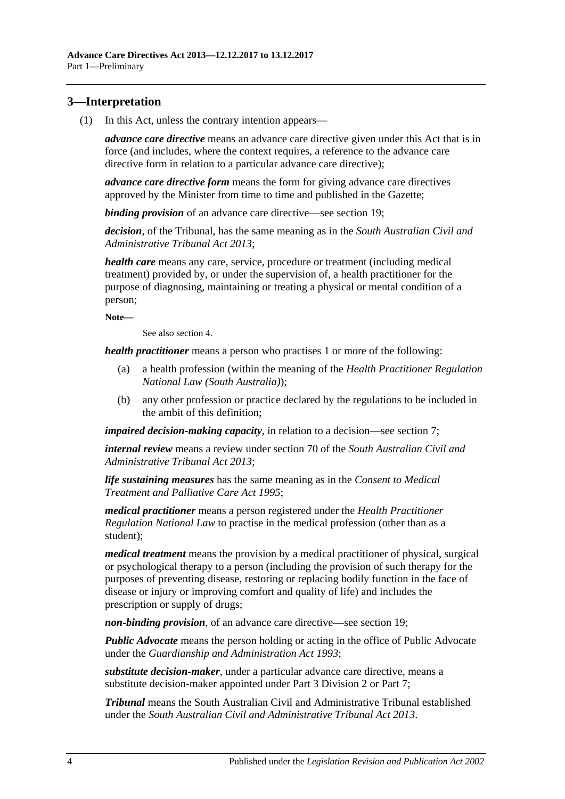## <span id="page-3-1"></span><span id="page-3-0"></span>**3—Interpretation**

(1) In this Act, unless the contrary intention appears—

*advance care directive* means an advance care directive given under this Act that is in force (and includes, where the context requires, a reference to the advance care directive form in relation to a particular advance care directive);

*advance care directive form* means the form for giving advance care directives approved by the Minister from time to time and published in the Gazette;

*binding provision* of an advance care directive—see [section](#page-11-3) 19;

*decision*, of the Tribunal, has the same meaning as in the *[South Australian Civil and](http://www.legislation.sa.gov.au/index.aspx?action=legref&type=act&legtitle=South%20Australian%20Civil%20and%20Administrative%20Tribunal%20Act%202013)  [Administrative Tribunal Act](http://www.legislation.sa.gov.au/index.aspx?action=legref&type=act&legtitle=South%20Australian%20Civil%20and%20Administrative%20Tribunal%20Act%202013) 2013*;

*health care* means any care, service, procedure or treatment (including medical treatment) provided by, or under the supervision of, a health practitioner for the purpose of diagnosing, maintaining or treating a physical or mental condition of a person;

**Note—**

See also [section](#page-4-0) 4.

*health practitioner* means a person who practises 1 or more of the following:

- (a) a health profession (within the meaning of the *Health Practitioner Regulation National Law (South Australia)*);
- (b) any other profession or practice declared by the regulations to be included in the ambit of this definition;

*impaired decision-making capacity*, in relation to a decision—see [section](#page-5-0) 7;

*internal review* means a review under section 70 of the *[South Australian Civil and](http://www.legislation.sa.gov.au/index.aspx?action=legref&type=act&legtitle=South%20Australian%20Civil%20and%20Administrative%20Tribunal%20Act%202013)  [Administrative Tribunal Act](http://www.legislation.sa.gov.au/index.aspx?action=legref&type=act&legtitle=South%20Australian%20Civil%20and%20Administrative%20Tribunal%20Act%202013) 2013*;

*life sustaining measures* has the same meaning as in the *[Consent to Medical](http://www.legislation.sa.gov.au/index.aspx?action=legref&type=act&legtitle=Consent%20to%20Medical%20Treatment%20and%20Palliative%20Care%20Act%201995)  [Treatment and Palliative Care Act](http://www.legislation.sa.gov.au/index.aspx?action=legref&type=act&legtitle=Consent%20to%20Medical%20Treatment%20and%20Palliative%20Care%20Act%201995) 1995*;

*medical practitioner* means a person registered under the *Health Practitioner Regulation National Law* to practise in the medical profession (other than as a student);

*medical treatment* means the provision by a medical practitioner of physical, surgical or psychological therapy to a person (including the provision of such therapy for the purposes of preventing disease, restoring or replacing bodily function in the face of disease or injury or improving comfort and quality of life) and includes the prescription or supply of drugs;

*non-binding provision*, of an advance care directive—see [section](#page-11-3) 19;

*Public Advocate* means the person holding or acting in the office of Public Advocate under the *[Guardianship and Administration Act](http://www.legislation.sa.gov.au/index.aspx?action=legref&type=act&legtitle=Guardianship%20and%20Administration%20Act%201993) 1993*;

*substitute decision-maker*, under a particular advance care directive, means a substitute decision-maker appointed under Part [3 Division](#page-12-1) 2 or [Part](#page-20-1) 7;

*Tribunal* means the South Australian Civil and Administrative Tribunal established under the *[South Australian Civil and Administrative Tribunal Act](http://www.legislation.sa.gov.au/index.aspx?action=legref&type=act&legtitle=South%20Australian%20Civil%20and%20Administrative%20Tribunal%20Act%202013) 2013*.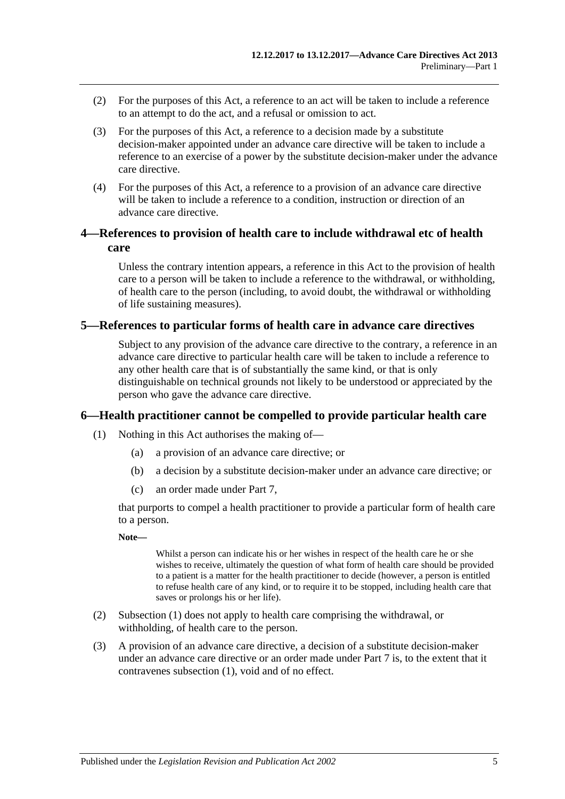- (2) For the purposes of this Act, a reference to an act will be taken to include a reference to an attempt to do the act, and a refusal or omission to act.
- (3) For the purposes of this Act, a reference to a decision made by a substitute decision-maker appointed under an advance care directive will be taken to include a reference to an exercise of a power by the substitute decision-maker under the advance care directive.
- (4) For the purposes of this Act, a reference to a provision of an advance care directive will be taken to include a reference to a condition, instruction or direction of an advance care directive.

## <span id="page-4-0"></span>**4—References to provision of health care to include withdrawal etc of health care**

Unless the contrary intention appears, a reference in this Act to the provision of health care to a person will be taken to include a reference to the withdrawal, or withholding, of health care to the person (including, to avoid doubt, the withdrawal or withholding of life sustaining measures).

## <span id="page-4-1"></span>**5—References to particular forms of health care in advance care directives**

Subject to any provision of the advance care directive to the contrary, a reference in an advance care directive to particular health care will be taken to include a reference to any other health care that is of substantially the same kind, or that is only distinguishable on technical grounds not likely to be understood or appreciated by the person who gave the advance care directive.

## <span id="page-4-3"></span><span id="page-4-2"></span>**6—Health practitioner cannot be compelled to provide particular health care**

- (1) Nothing in this Act authorises the making of—
	- (a) a provision of an advance care directive; or
	- (b) a decision by a substitute decision-maker under an advance care directive; or
	- (c) an order made under [Part](#page-20-1) 7,

that purports to compel a health practitioner to provide a particular form of health care to a person.

#### **Note—**

Whilst a person can indicate his or her wishes in respect of the health care he or she wishes to receive, ultimately the question of what form of health care should be provided to a patient is a matter for the health practitioner to decide (however, a person is entitled to refuse health care of any kind, or to require it to be stopped, including health care that saves or prolongs his or her life).

- (2) [Subsection](#page-4-3) (1) does not apply to health care comprising the withdrawal, or withholding, of health care to the person.
- (3) A provision of an advance care directive, a decision of a substitute decision-maker under an advance care directive or an order made under [Part](#page-20-1) 7 is, to the extent that it contravenes [subsection](#page-4-3) (1), void and of no effect.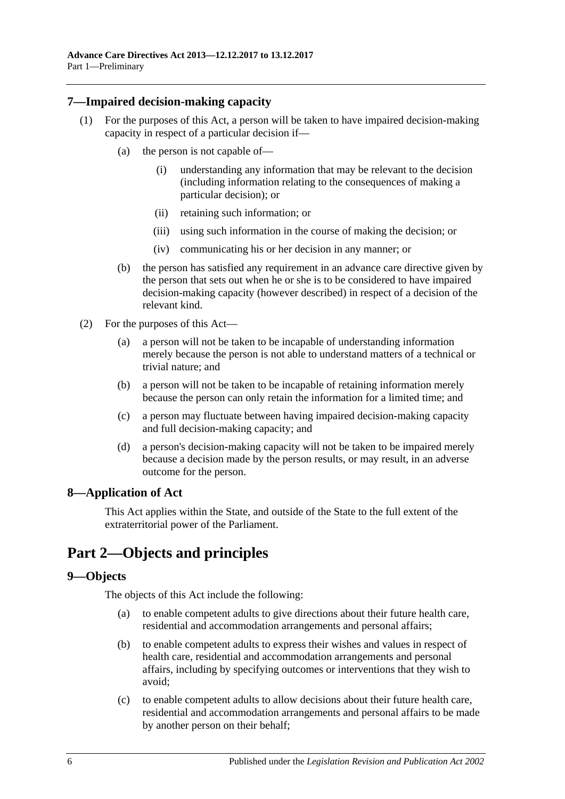## <span id="page-5-0"></span>**7—Impaired decision-making capacity**

- (1) For the purposes of this Act, a person will be taken to have impaired decision-making capacity in respect of a particular decision if—
	- (a) the person is not capable of—
		- (i) understanding any information that may be relevant to the decision (including information relating to the consequences of making a particular decision); or
		- (ii) retaining such information; or
		- (iii) using such information in the course of making the decision; or
		- (iv) communicating his or her decision in any manner; or
	- (b) the person has satisfied any requirement in an advance care directive given by the person that sets out when he or she is to be considered to have impaired decision-making capacity (however described) in respect of a decision of the relevant kind.
- (2) For the purposes of this Act—
	- (a) a person will not be taken to be incapable of understanding information merely because the person is not able to understand matters of a technical or trivial nature; and
	- (b) a person will not be taken to be incapable of retaining information merely because the person can only retain the information for a limited time; and
	- (c) a person may fluctuate between having impaired decision-making capacity and full decision-making capacity; and
	- (d) a person's decision-making capacity will not be taken to be impaired merely because a decision made by the person results, or may result, in an adverse outcome for the person.

## <span id="page-5-1"></span>**8—Application of Act**

This Act applies within the State, and outside of the State to the full extent of the extraterritorial power of the Parliament.

# <span id="page-5-2"></span>**Part 2—Objects and principles**

## <span id="page-5-3"></span>**9—Objects**

The objects of this Act include the following:

- (a) to enable competent adults to give directions about their future health care, residential and accommodation arrangements and personal affairs;
- (b) to enable competent adults to express their wishes and values in respect of health care, residential and accommodation arrangements and personal affairs, including by specifying outcomes or interventions that they wish to avoid;
- (c) to enable competent adults to allow decisions about their future health care, residential and accommodation arrangements and personal affairs to be made by another person on their behalf;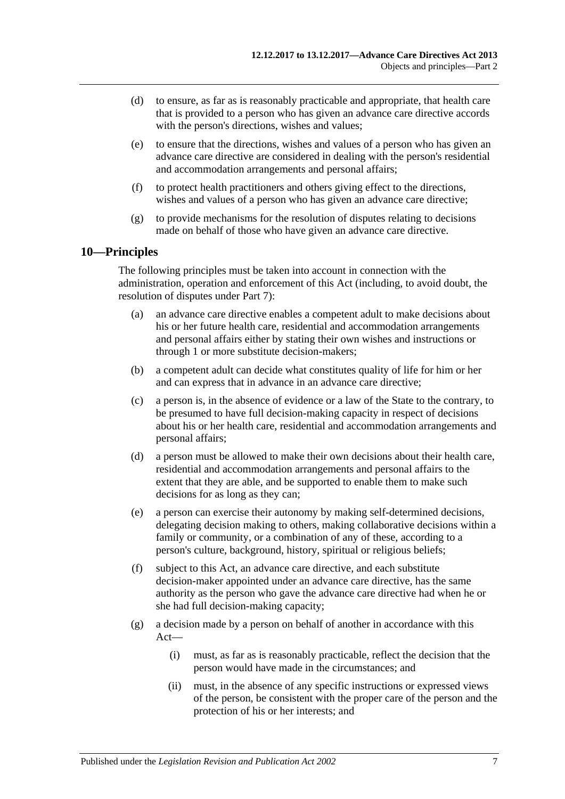- (d) to ensure, as far as is reasonably practicable and appropriate, that health care that is provided to a person who has given an advance care directive accords with the person's directions, wishes and values;
- (e) to ensure that the directions, wishes and values of a person who has given an advance care directive are considered in dealing with the person's residential and accommodation arrangements and personal affairs;
- (f) to protect health practitioners and others giving effect to the directions, wishes and values of a person who has given an advance care directive;
- (g) to provide mechanisms for the resolution of disputes relating to decisions made on behalf of those who have given an advance care directive.

## <span id="page-6-0"></span>**10—Principles**

The following principles must be taken into account in connection with the administration, operation and enforcement of this Act (including, to avoid doubt, the resolution of disputes under [Part](#page-20-1) 7):

- (a) an advance care directive enables a competent adult to make decisions about his or her future health care, residential and accommodation arrangements and personal affairs either by stating their own wishes and instructions or through 1 or more substitute decision-makers;
- (b) a competent adult can decide what constitutes quality of life for him or her and can express that in advance in an advance care directive;
- (c) a person is, in the absence of evidence or a law of the State to the contrary, to be presumed to have full decision-making capacity in respect of decisions about his or her health care, residential and accommodation arrangements and personal affairs;
- (d) a person must be allowed to make their own decisions about their health care, residential and accommodation arrangements and personal affairs to the extent that they are able, and be supported to enable them to make such decisions for as long as they can;
- (e) a person can exercise their autonomy by making self-determined decisions, delegating decision making to others, making collaborative decisions within a family or community, or a combination of any of these, according to a person's culture, background, history, spiritual or religious beliefs;
- (f) subject to this Act, an advance care directive, and each substitute decision-maker appointed under an advance care directive, has the same authority as the person who gave the advance care directive had when he or she had full decision-making capacity;
- (g) a decision made by a person on behalf of another in accordance with this Act—
	- (i) must, as far as is reasonably practicable, reflect the decision that the person would have made in the circumstances; and
	- (ii) must, in the absence of any specific instructions or expressed views of the person, be consistent with the proper care of the person and the protection of his or her interests; and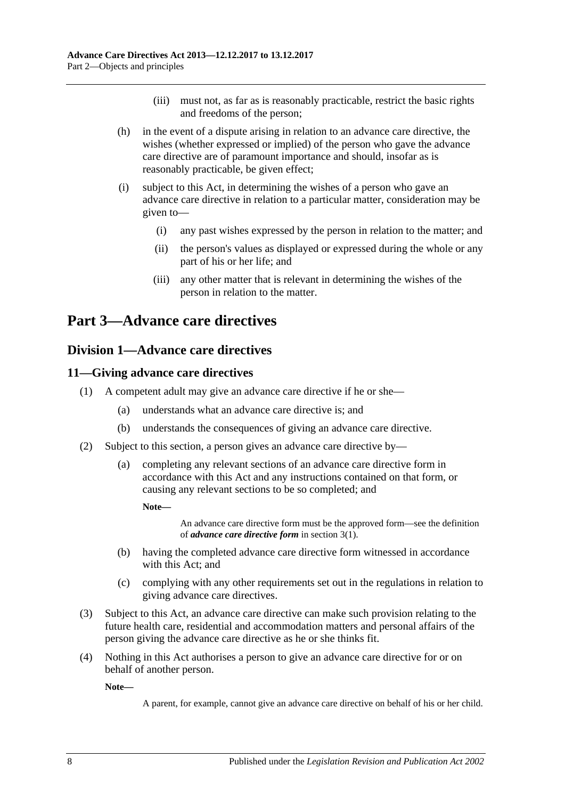- (iii) must not, as far as is reasonably practicable, restrict the basic rights and freedoms of the person;
- (h) in the event of a dispute arising in relation to an advance care directive, the wishes (whether expressed or implied) of the person who gave the advance care directive are of paramount importance and should, insofar as is reasonably practicable, be given effect;
- (i) subject to this Act, in determining the wishes of a person who gave an advance care directive in relation to a particular matter, consideration may be given to—
	- (i) any past wishes expressed by the person in relation to the matter; and
	- (ii) the person's values as displayed or expressed during the whole or any part of his or her life; and
	- (iii) any other matter that is relevant in determining the wishes of the person in relation to the matter.

# <span id="page-7-1"></span><span id="page-7-0"></span>**Part 3—Advance care directives**

## **Division 1—Advance care directives**

## <span id="page-7-2"></span>**11—Giving advance care directives**

- (1) A competent adult may give an advance care directive if he or she—
	- (a) understands what an advance care directive is; and
	- (b) understands the consequences of giving an advance care directive.
- (2) Subject to this section, a person gives an advance care directive by—
	- (a) completing any relevant sections of an advance care directive form in accordance with this Act and any instructions contained on that form, or causing any relevant sections to be so completed; and

**Note—**

An advance care directive form must be the approved form—see the definition of *advance care directive form* i[n section](#page-3-1) 3(1).

- (b) having the completed advance care directive form witnessed in accordance with this Act; and
- (c) complying with any other requirements set out in the regulations in relation to giving advance care directives.
- (3) Subject to this Act, an advance care directive can make such provision relating to the future health care, residential and accommodation matters and personal affairs of the person giving the advance care directive as he or she thinks fit.
- (4) Nothing in this Act authorises a person to give an advance care directive for or on behalf of another person.

**Note—**

A parent, for example, cannot give an advance care directive on behalf of his or her child.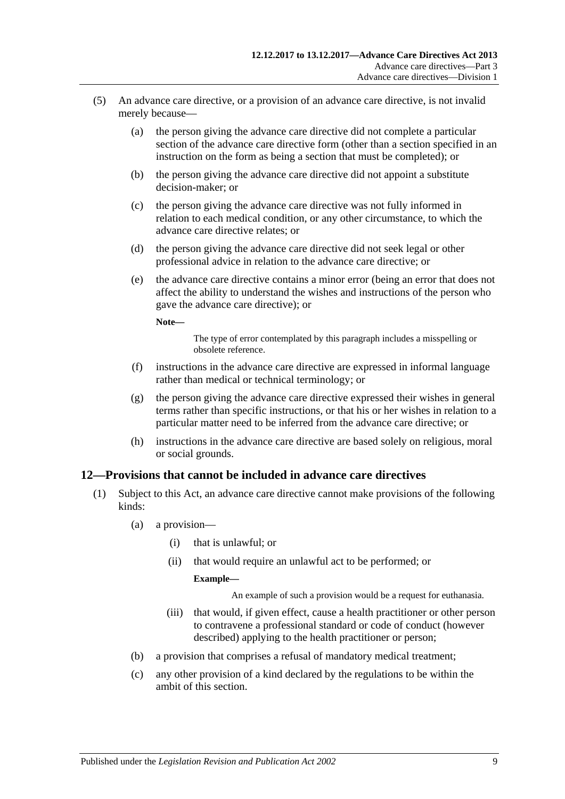- (5) An advance care directive, or a provision of an advance care directive, is not invalid merely because—
	- (a) the person giving the advance care directive did not complete a particular section of the advance care directive form (other than a section specified in an instruction on the form as being a section that must be completed); or
	- (b) the person giving the advance care directive did not appoint a substitute decision-maker; or
	- (c) the person giving the advance care directive was not fully informed in relation to each medical condition, or any other circumstance, to which the advance care directive relates; or
	- (d) the person giving the advance care directive did not seek legal or other professional advice in relation to the advance care directive; or
	- (e) the advance care directive contains a minor error (being an error that does not affect the ability to understand the wishes and instructions of the person who gave the advance care directive); or

**Note—**

The type of error contemplated by this paragraph includes a misspelling or obsolete reference.

- (f) instructions in the advance care directive are expressed in informal language rather than medical or technical terminology; or
- (g) the person giving the advance care directive expressed their wishes in general terms rather than specific instructions, or that his or her wishes in relation to a particular matter need to be inferred from the advance care directive; or
- (h) instructions in the advance care directive are based solely on religious, moral or social grounds.

## <span id="page-8-1"></span><span id="page-8-0"></span>**12—Provisions that cannot be included in advance care directives**

- (1) Subject to this Act, an advance care directive cannot make provisions of the following kinds:
	- (a) a provision—
		- (i) that is unlawful; or
		- (ii) that would require an unlawful act to be performed; or

## **Example—**

An example of such a provision would be a request for euthanasia.

- (iii) that would, if given effect, cause a health practitioner or other person to contravene a professional standard or code of conduct (however described) applying to the health practitioner or person;
- <span id="page-8-2"></span>(b) a provision that comprises a refusal of mandatory medical treatment;
- (c) any other provision of a kind declared by the regulations to be within the ambit of this section.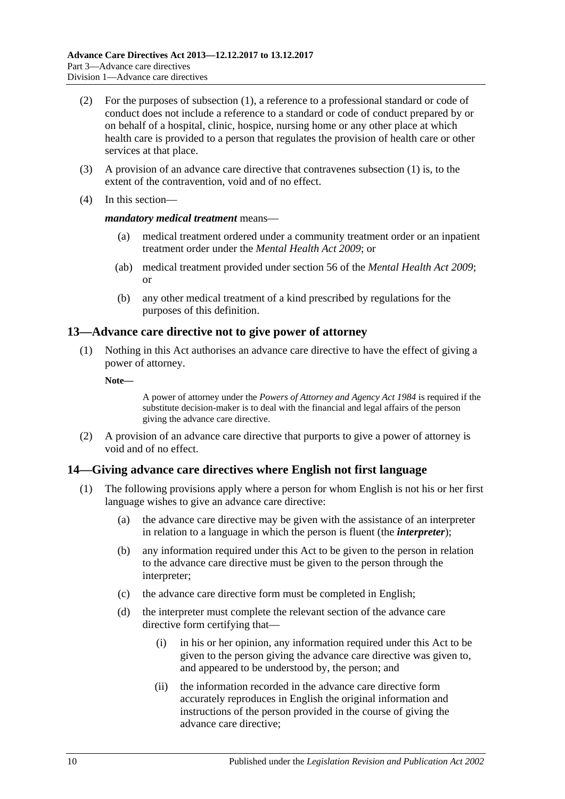- (2) For the purposes of [subsection](#page-8-1) (1), a reference to a professional standard or code of conduct does not include a reference to a standard or code of conduct prepared by or on behalf of a hospital, clinic, hospice, nursing home or any other place at which health care is provided to a person that regulates the provision of health care or other services at that place.
- (3) A provision of an advance care directive that contravenes [subsection](#page-8-1) (1) is, to the extent of the contravention, void and of no effect.
- (4) In this section—

#### *mandatory medical treatment* means—

- (a) medical treatment ordered under a community treatment order or an inpatient treatment order under the *[Mental Health Act](http://www.legislation.sa.gov.au/index.aspx?action=legref&type=act&legtitle=Mental%20Health%20Act%202009) 2009*; or
- (ab) medical treatment provided under section 56 of the *[Mental Health Act](http://www.legislation.sa.gov.au/index.aspx?action=legref&type=act&legtitle=Mental%20Health%20Act%202009) 2009*; or
- (b) any other medical treatment of a kind prescribed by regulations for the purposes of this definition.

## <span id="page-9-0"></span>**13—Advance care directive not to give power of attorney**

- (1) Nothing in this Act authorises an advance care directive to have the effect of giving a power of attorney.
	- **Note—**

A power of attorney under the *[Powers of Attorney and Agency Act](http://www.legislation.sa.gov.au/index.aspx?action=legref&type=act&legtitle=Powers%20of%20Attorney%20and%20Agency%20Act%201984) 1984* is required if the substitute decision-maker is to deal with the financial and legal affairs of the person giving the advance care directive.

(2) A provision of an advance care directive that purports to give a power of attorney is void and of no effect.

## <span id="page-9-1"></span>**14—Giving advance care directives where English not first language**

- (1) The following provisions apply where a person for whom English is not his or her first language wishes to give an advance care directive:
	- (a) the advance care directive may be given with the assistance of an interpreter in relation to a language in which the person is fluent (the *interpreter*);
	- (b) any information required under this Act to be given to the person in relation to the advance care directive must be given to the person through the interpreter;
	- (c) the advance care directive form must be completed in English;
	- (d) the interpreter must complete the relevant section of the advance care directive form certifying that—
		- (i) in his or her opinion, any information required under this Act to be given to the person giving the advance care directive was given to, and appeared to be understood by, the person; and
		- (ii) the information recorded in the advance care directive form accurately reproduces in English the original information and instructions of the person provided in the course of giving the advance care directive;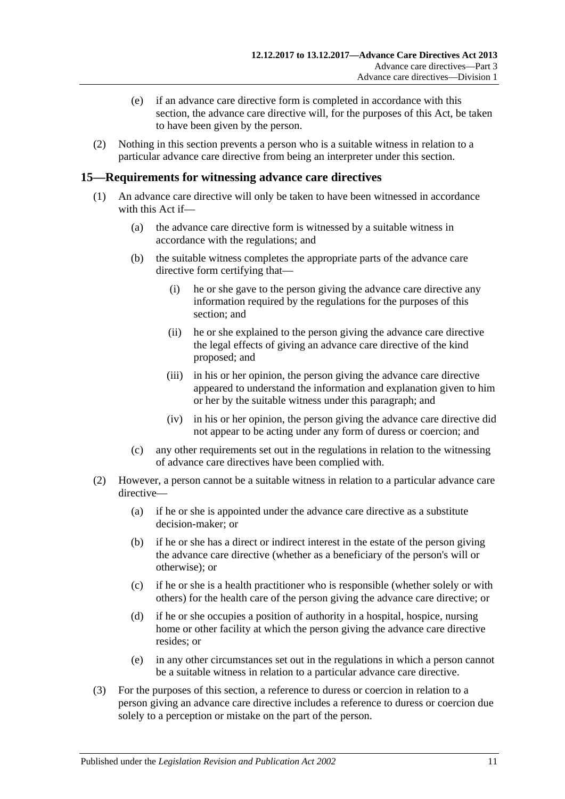- (e) if an advance care directive form is completed in accordance with this section, the advance care directive will, for the purposes of this Act, be taken to have been given by the person.
- (2) Nothing in this section prevents a person who is a suitable witness in relation to a particular advance care directive from being an interpreter under this section.

## <span id="page-10-0"></span>**15—Requirements for witnessing advance care directives**

- (1) An advance care directive will only be taken to have been witnessed in accordance with this Act if—
	- (a) the advance care directive form is witnessed by a suitable witness in accordance with the regulations; and
	- (b) the suitable witness completes the appropriate parts of the advance care directive form certifying that—
		- (i) he or she gave to the person giving the advance care directive any information required by the regulations for the purposes of this section; and
		- (ii) he or she explained to the person giving the advance care directive the legal effects of giving an advance care directive of the kind proposed; and
		- (iii) in his or her opinion, the person giving the advance care directive appeared to understand the information and explanation given to him or her by the suitable witness under this paragraph; and
		- (iv) in his or her opinion, the person giving the advance care directive did not appear to be acting under any form of duress or coercion; and
	- (c) any other requirements set out in the regulations in relation to the witnessing of advance care directives have been complied with.
- (2) However, a person cannot be a suitable witness in relation to a particular advance care directive—
	- (a) if he or she is appointed under the advance care directive as a substitute decision-maker; or
	- (b) if he or she has a direct or indirect interest in the estate of the person giving the advance care directive (whether as a beneficiary of the person's will or otherwise); or
	- (c) if he or she is a health practitioner who is responsible (whether solely or with others) for the health care of the person giving the advance care directive; or
	- (d) if he or she occupies a position of authority in a hospital, hospice, nursing home or other facility at which the person giving the advance care directive resides; or
	- (e) in any other circumstances set out in the regulations in which a person cannot be a suitable witness in relation to a particular advance care directive.
- (3) For the purposes of this section, a reference to duress or coercion in relation to a person giving an advance care directive includes a reference to duress or coercion due solely to a perception or mistake on the part of the person.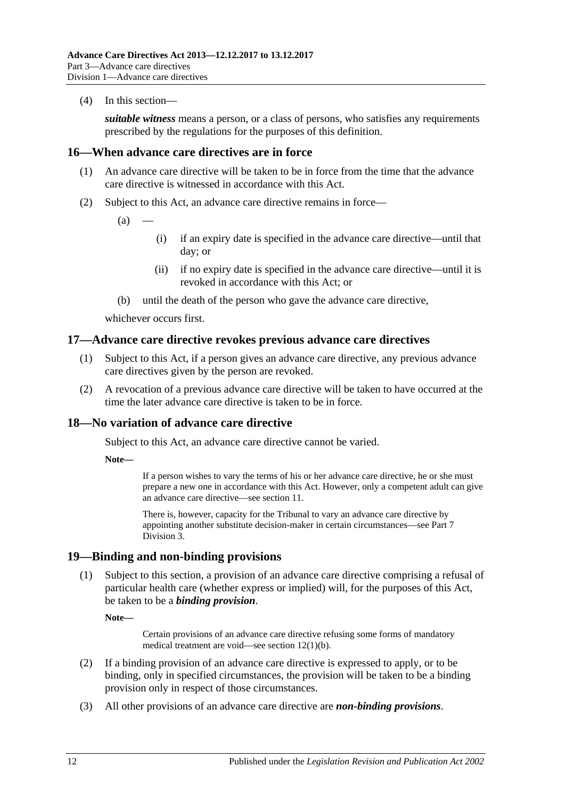(4) In this section—

*suitable witness* means a person, or a class of persons, who satisfies any requirements prescribed by the regulations for the purposes of this definition.

## <span id="page-11-0"></span>**16—When advance care directives are in force**

- (1) An advance care directive will be taken to be in force from the time that the advance care directive is witnessed in accordance with this Act.
- (2) Subject to this Act, an advance care directive remains in force—
	- $(a)$
- (i) if an expiry date is specified in the advance care directive—until that day; or
- (ii) if no expiry date is specified in the advance care directive—until it is revoked in accordance with this Act; or
- (b) until the death of the person who gave the advance care directive,

whichever occurs first.

## <span id="page-11-1"></span>**17—Advance care directive revokes previous advance care directives**

- (1) Subject to this Act, if a person gives an advance care directive, any previous advance care directives given by the person are revoked.
- (2) A revocation of a previous advance care directive will be taken to have occurred at the time the later advance care directive is taken to be in force.

## <span id="page-11-2"></span>**18—No variation of advance care directive**

Subject to this Act, an advance care directive cannot be varied.

**Note—**

If a person wishes to vary the terms of his or her advance care directive, he or she must prepare a new one in accordance with this Act. However, only a competent adult can give an advance care directive—see [section](#page-7-2) 11.

There is, however, capacity for the Tribunal to vary an advance care directive by appointing another substitute decision-maker in certain circumstances—see [Part](#page-22-2) 7 [Division](#page-22-2) 3.

## <span id="page-11-3"></span>**19—Binding and non-binding provisions**

(1) Subject to this section, a provision of an advance care directive comprising a refusal of particular health care (whether express or implied) will, for the purposes of this Act, be taken to be a *binding provision*.

**Note—**

Certain provisions of an advance care directive refusing some forms of mandatory medical treatment are void—see section [12\(1\)\(b\).](#page-8-2)

- (2) If a binding provision of an advance care directive is expressed to apply, or to be binding, only in specified circumstances, the provision will be taken to be a binding provision only in respect of those circumstances.
- (3) All other provisions of an advance care directive are *non-binding provisions*.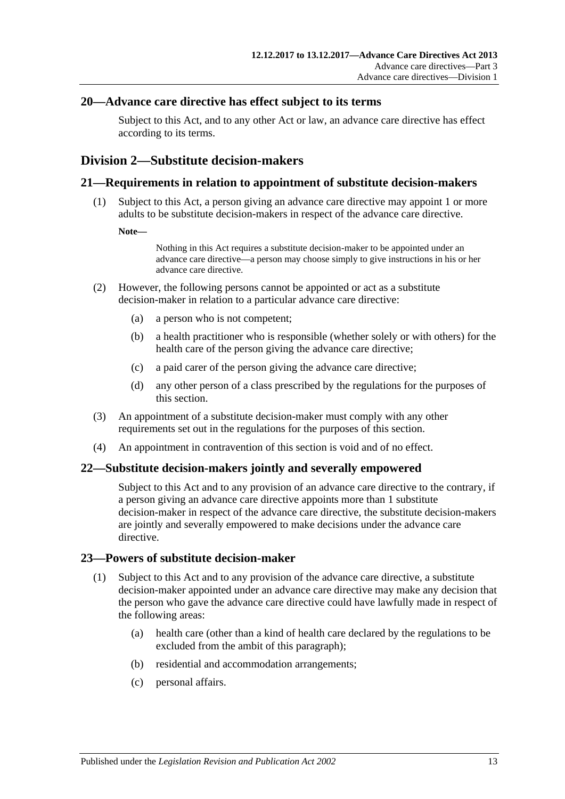## <span id="page-12-0"></span>**20—Advance care directive has effect subject to its terms**

Subject to this Act, and to any other Act or law, an advance care directive has effect according to its terms.

## <span id="page-12-1"></span>**Division 2—Substitute decision-makers**

## <span id="page-12-2"></span>**21—Requirements in relation to appointment of substitute decision-makers**

(1) Subject to this Act, a person giving an advance care directive may appoint 1 or more adults to be substitute decision-makers in respect of the advance care directive.

#### **Note—**

Nothing in this Act requires a substitute decision-maker to be appointed under an advance care directive—a person may choose simply to give instructions in his or her advance care directive.

- <span id="page-12-6"></span>(2) However, the following persons cannot be appointed or act as a substitute decision-maker in relation to a particular advance care directive:
	- (a) a person who is not competent;
	- (b) a health practitioner who is responsible (whether solely or with others) for the health care of the person giving the advance care directive;
	- (c) a paid carer of the person giving the advance care directive;
	- (d) any other person of a class prescribed by the regulations for the purposes of this section.
- (3) An appointment of a substitute decision-maker must comply with any other requirements set out in the regulations for the purposes of this section.
- (4) An appointment in contravention of this section is void and of no effect.

## <span id="page-12-3"></span>**22—Substitute decision-makers jointly and severally empowered**

Subject to this Act and to any provision of an advance care directive to the contrary, if a person giving an advance care directive appoints more than 1 substitute decision-maker in respect of the advance care directive, the substitute decision-makers are jointly and severally empowered to make decisions under the advance care directive.

## <span id="page-12-5"></span><span id="page-12-4"></span>**23—Powers of substitute decision-maker**

- (1) Subject to this Act and to any provision of the advance care directive, a substitute decision-maker appointed under an advance care directive may make any decision that the person who gave the advance care directive could have lawfully made in respect of the following areas:
	- (a) health care (other than a kind of health care declared by the regulations to be excluded from the ambit of this paragraph);
	- (b) residential and accommodation arrangements;
	- (c) personal affairs.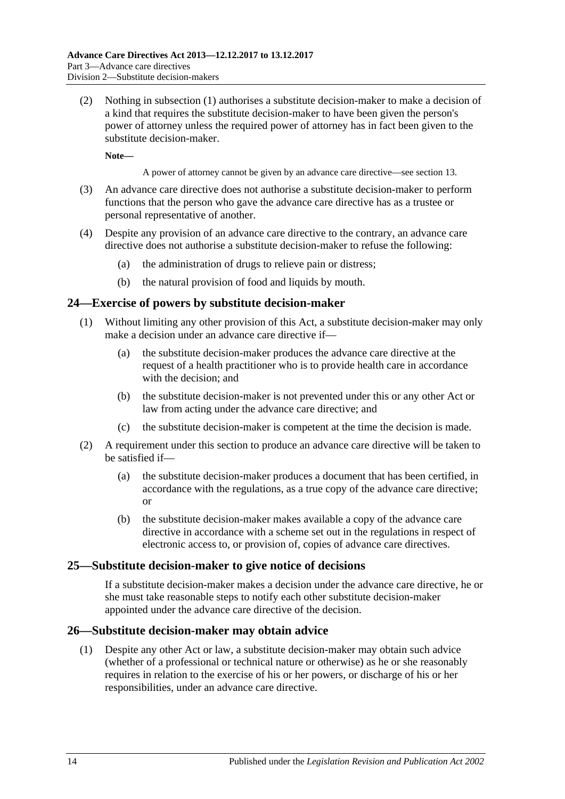(2) Nothing in [subsection](#page-12-5) (1) authorises a substitute decision-maker to make a decision of a kind that requires the substitute decision-maker to have been given the person's power of attorney unless the required power of attorney has in fact been given to the substitute decision-maker.

**Note—**

A power of attorney cannot be given by an advance care directive—se[e section](#page-9-0) 13.

- (3) An advance care directive does not authorise a substitute decision-maker to perform functions that the person who gave the advance care directive has as a trustee or personal representative of another.
- (4) Despite any provision of an advance care directive to the contrary, an advance care directive does not authorise a substitute decision-maker to refuse the following:
	- (a) the administration of drugs to relieve pain or distress;
	- (b) the natural provision of food and liquids by mouth.

## <span id="page-13-0"></span>**24—Exercise of powers by substitute decision-maker**

- (1) Without limiting any other provision of this Act, a substitute decision-maker may only make a decision under an advance care directive if—
	- (a) the substitute decision-maker produces the advance care directive at the request of a health practitioner who is to provide health care in accordance with the decision; and
	- (b) the substitute decision-maker is not prevented under this or any other Act or law from acting under the advance care directive; and
	- (c) the substitute decision-maker is competent at the time the decision is made.
- (2) A requirement under this section to produce an advance care directive will be taken to be satisfied if—
	- (a) the substitute decision-maker produces a document that has been certified, in accordance with the regulations, as a true copy of the advance care directive; or
	- (b) the substitute decision-maker makes available a copy of the advance care directive in accordance with a scheme set out in the regulations in respect of electronic access to, or provision of, copies of advance care directives.

## <span id="page-13-1"></span>**25—Substitute decision-maker to give notice of decisions**

If a substitute decision-maker makes a decision under the advance care directive, he or she must take reasonable steps to notify each other substitute decision-maker appointed under the advance care directive of the decision.

## <span id="page-13-2"></span>**26—Substitute decision-maker may obtain advice**

(1) Despite any other Act or law, a substitute decision-maker may obtain such advice (whether of a professional or technical nature or otherwise) as he or she reasonably requires in relation to the exercise of his or her powers, or discharge of his or her responsibilities, under an advance care directive.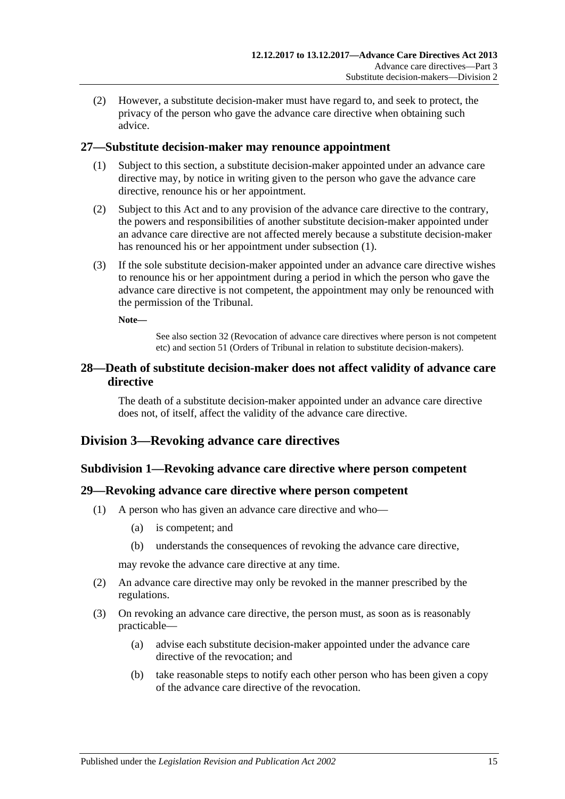(2) However, a substitute decision-maker must have regard to, and seek to protect, the privacy of the person who gave the advance care directive when obtaining such advice.

## <span id="page-14-5"></span><span id="page-14-0"></span>**27—Substitute decision-maker may renounce appointment**

- (1) Subject to this section, a substitute decision-maker appointed under an advance care directive may, by notice in writing given to the person who gave the advance care directive, renounce his or her appointment.
- (2) Subject to this Act and to any provision of the advance care directive to the contrary, the powers and responsibilities of another substitute decision-maker appointed under an advance care directive are not affected merely because a substitute decision-maker has renounced his or her appointment under [subsection](#page-14-5) (1).
- (3) If the sole substitute decision-maker appointed under an advance care directive wishes to renounce his or her appointment during a period in which the person who gave the advance care directive is not competent, the appointment may only be renounced with the permission of the Tribunal.

**Note—**

See also [section](#page-15-3) 32 (Revocation of advance care directives where person is not competent etc) and [section](#page-23-2) 51 (Orders of Tribunal in relation to substitute decision-makers).

## <span id="page-14-1"></span>**28—Death of substitute decision-maker does not affect validity of advance care directive**

The death of a substitute decision-maker appointed under an advance care directive does not, of itself, affect the validity of the advance care directive.

## <span id="page-14-3"></span><span id="page-14-2"></span>**Division 3—Revoking advance care directives**

## **Subdivision 1—Revoking advance care directive where person competent**

## <span id="page-14-4"></span>**29—Revoking advance care directive where person competent**

- (1) A person who has given an advance care directive and who—
	- (a) is competent; and
	- (b) understands the consequences of revoking the advance care directive,

may revoke the advance care directive at any time.

- (2) An advance care directive may only be revoked in the manner prescribed by the regulations.
- (3) On revoking an advance care directive, the person must, as soon as is reasonably practicable—
	- (a) advise each substitute decision-maker appointed under the advance care directive of the revocation; and
	- (b) take reasonable steps to notify each other person who has been given a copy of the advance care directive of the revocation.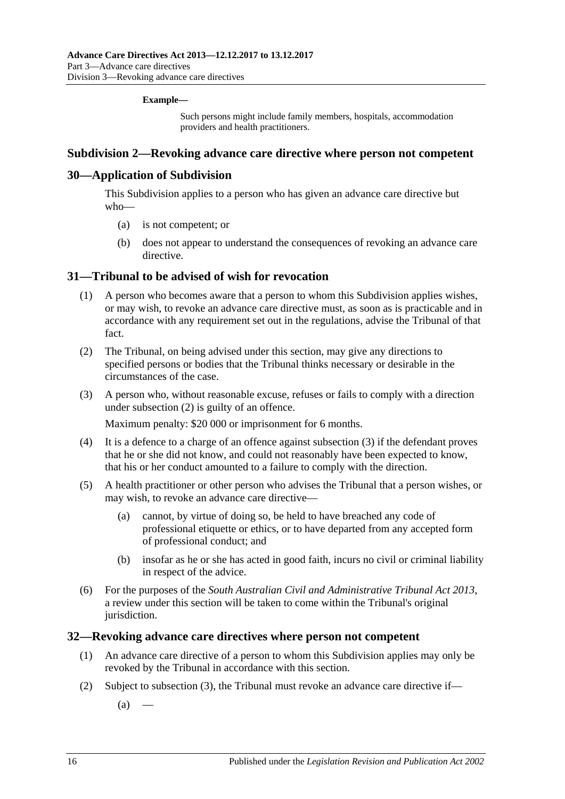#### **Example—**

Such persons might include family members, hospitals, accommodation providers and health practitioners.

## <span id="page-15-0"></span>**Subdivision 2—Revoking advance care directive where person not competent**

## <span id="page-15-1"></span>**30—Application of Subdivision**

This Subdivision applies to a person who has given an advance care directive but who—

- (a) is not competent; or
- (b) does not appear to understand the consequences of revoking an advance care directive.

## <span id="page-15-2"></span>**31—Tribunal to be advised of wish for revocation**

- (1) A person who becomes aware that a person to whom this Subdivision applies wishes, or may wish, to revoke an advance care directive must, as soon as is practicable and in accordance with any requirement set out in the regulations, advise the Tribunal of that fact.
- <span id="page-15-4"></span>(2) The Tribunal, on being advised under this section, may give any directions to specified persons or bodies that the Tribunal thinks necessary or desirable in the circumstances of the case.
- <span id="page-15-5"></span>(3) A person who, without reasonable excuse, refuses or fails to comply with a direction under [subsection](#page-15-4) (2) is guilty of an offence.

Maximum penalty: \$20 000 or imprisonment for 6 months.

- (4) It is a defence to a charge of an offence against [subsection](#page-15-5) (3) if the defendant proves that he or she did not know, and could not reasonably have been expected to know, that his or her conduct amounted to a failure to comply with the direction.
- (5) A health practitioner or other person who advises the Tribunal that a person wishes, or may wish, to revoke an advance care directive—
	- (a) cannot, by virtue of doing so, be held to have breached any code of professional etiquette or ethics, or to have departed from any accepted form of professional conduct; and
	- (b) insofar as he or she has acted in good faith, incurs no civil or criminal liability in respect of the advice.
- (6) For the purposes of the *[South Australian Civil and Administrative Tribunal Act](http://www.legislation.sa.gov.au/index.aspx?action=legref&type=act&legtitle=South%20Australian%20Civil%20and%20Administrative%20Tribunal%20Act%202013) 2013*, a review under this section will be taken to come within the Tribunal's original jurisdiction.

## <span id="page-15-6"></span><span id="page-15-3"></span>**32—Revoking advance care directives where person not competent**

- (1) An advance care directive of a person to whom this Subdivision applies may only be revoked by the Tribunal in accordance with this section.
- (2) Subject to [subsection](#page-16-2) (3), the Tribunal must revoke an advance care directive if—
	- $(a)$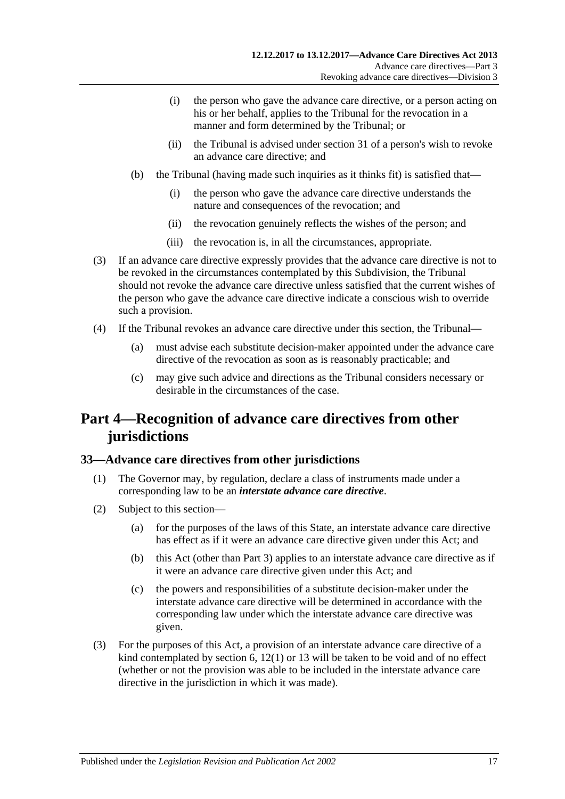- (i) the person who gave the advance care directive, or a person acting on his or her behalf, applies to the Tribunal for the revocation in a manner and form determined by the Tribunal; or
- (ii) the Tribunal is advised under [section](#page-15-2) 31 of a person's wish to revoke an advance care directive; and
- (b) the Tribunal (having made such inquiries as it thinks fit) is satisfied that—
	- (i) the person who gave the advance care directive understands the nature and consequences of the revocation; and
	- (ii) the revocation genuinely reflects the wishes of the person; and
	- (iii) the revocation is, in all the circumstances, appropriate.
- <span id="page-16-2"></span>(3) If an advance care directive expressly provides that the advance care directive is not to be revoked in the circumstances contemplated by this Subdivision, the Tribunal should not revoke the advance care directive unless satisfied that the current wishes of the person who gave the advance care directive indicate a conscious wish to override such a provision.
- (4) If the Tribunal revokes an advance care directive under this section, the Tribunal—
	- (a) must advise each substitute decision-maker appointed under the advance care directive of the revocation as soon as is reasonably practicable; and
	- (c) may give such advice and directions as the Tribunal considers necessary or desirable in the circumstances of the case.

# <span id="page-16-0"></span>**Part 4—Recognition of advance care directives from other jurisdictions**

## <span id="page-16-1"></span>**33—Advance care directives from other jurisdictions**

- (1) The Governor may, by regulation, declare a class of instruments made under a corresponding law to be an *interstate advance care directive*.
- (2) Subject to this section—
	- (a) for the purposes of the laws of this State, an interstate advance care directive has effect as if it were an advance care directive given under this Act; and
	- (b) this Act (other than [Part](#page-7-0) 3) applies to an interstate advance care directive as if it were an advance care directive given under this Act; and
	- (c) the powers and responsibilities of a substitute decision-maker under the interstate advance care directive will be determined in accordance with the corresponding law under which the interstate advance care directive was given.
- (3) For the purposes of this Act, a provision of an interstate advance care directive of a kind contemplated by [section](#page-4-2)  $6, 12(1)$  $6, 12(1)$  or [13](#page-9-0) will be taken to be void and of no effect (whether or not the provision was able to be included in the interstate advance care directive in the jurisdiction in which it was made).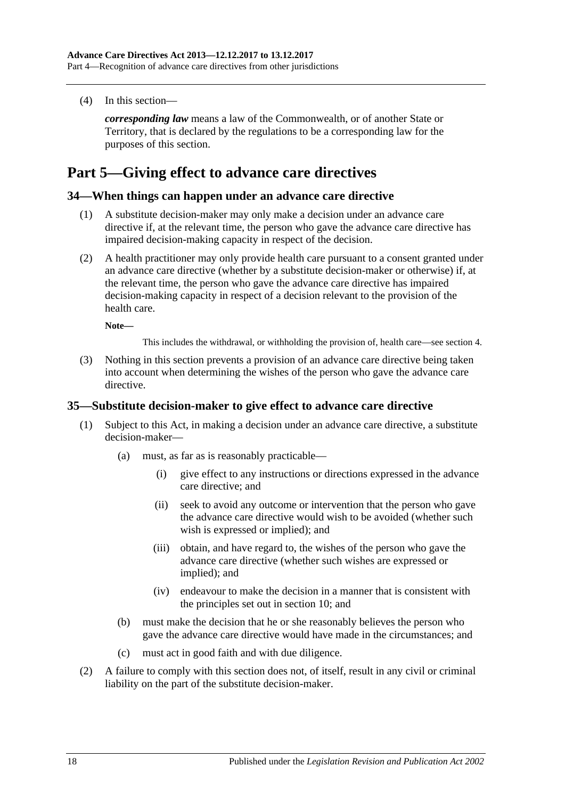(4) In this section—

*corresponding law* means a law of the Commonwealth, or of another State or Territory, that is declared by the regulations to be a corresponding law for the purposes of this section.

# <span id="page-17-0"></span>**Part 5—Giving effect to advance care directives**

## <span id="page-17-1"></span>**34—When things can happen under an advance care directive**

- (1) A substitute decision-maker may only make a decision under an advance care directive if, at the relevant time, the person who gave the advance care directive has impaired decision-making capacity in respect of the decision.
- (2) A health practitioner may only provide health care pursuant to a consent granted under an advance care directive (whether by a substitute decision-maker or otherwise) if, at the relevant time, the person who gave the advance care directive has impaired decision-making capacity in respect of a decision relevant to the provision of the health care.

**Note—**

This includes the withdrawal, or withholding the provision of, health care—see [section](#page-4-0) 4.

(3) Nothing in this section prevents a provision of an advance care directive being taken into account when determining the wishes of the person who gave the advance care directive.

## <span id="page-17-2"></span>**35—Substitute decision-maker to give effect to advance care directive**

- (1) Subject to this Act, in making a decision under an advance care directive, a substitute decision-maker—
	- (a) must, as far as is reasonably practicable—
		- (i) give effect to any instructions or directions expressed in the advance care directive; and
		- (ii) seek to avoid any outcome or intervention that the person who gave the advance care directive would wish to be avoided (whether such wish is expressed or implied); and
		- (iii) obtain, and have regard to, the wishes of the person who gave the advance care directive (whether such wishes are expressed or implied); and
		- (iv) endeavour to make the decision in a manner that is consistent with the principles set out in [section](#page-6-0) 10; and
	- (b) must make the decision that he or she reasonably believes the person who gave the advance care directive would have made in the circumstances; and
	- (c) must act in good faith and with due diligence.
- (2) A failure to comply with this section does not, of itself, result in any civil or criminal liability on the part of the substitute decision-maker.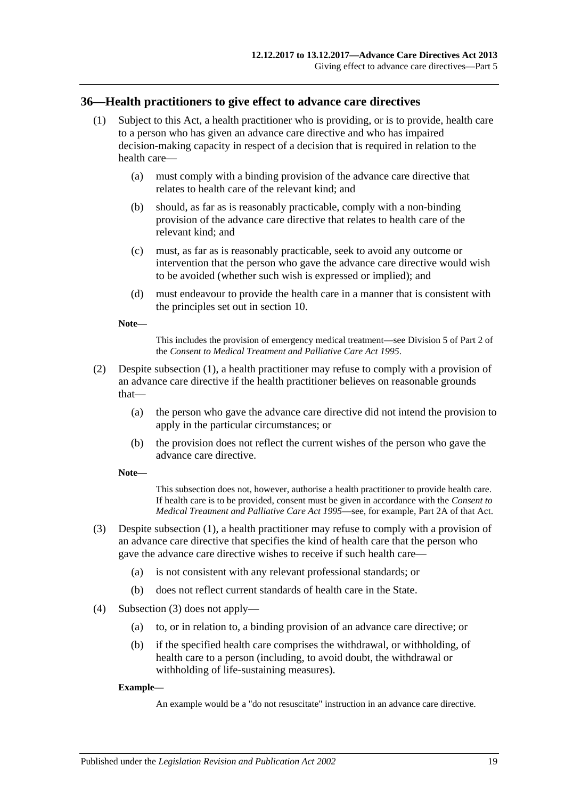## <span id="page-18-1"></span><span id="page-18-0"></span>**36—Health practitioners to give effect to advance care directives**

- (1) Subject to this Act, a health practitioner who is providing, or is to provide, health care to a person who has given an advance care directive and who has impaired decision-making capacity in respect of a decision that is required in relation to the health care—
	- (a) must comply with a binding provision of the advance care directive that relates to health care of the relevant kind; and
	- (b) should, as far as is reasonably practicable, comply with a non-binding provision of the advance care directive that relates to health care of the relevant kind; and
	- (c) must, as far as is reasonably practicable, seek to avoid any outcome or intervention that the person who gave the advance care directive would wish to be avoided (whether such wish is expressed or implied); and
	- (d) must endeavour to provide the health care in a manner that is consistent with the principles set out in [section](#page-6-0) 10.

**Note—**

This includes the provision of emergency medical treatment—see Division 5 of Part 2 of the *[Consent to Medical Treatment and Palliative Care Act](http://www.legislation.sa.gov.au/index.aspx?action=legref&type=act&legtitle=Consent%20to%20Medical%20Treatment%20and%20Palliative%20Care%20Act%201995) 1995*.

- (2) Despite [subsection](#page-18-1) (1), a health practitioner may refuse to comply with a provision of an advance care directive if the health practitioner believes on reasonable grounds that—
	- (a) the person who gave the advance care directive did not intend the provision to apply in the particular circumstances; or
	- (b) the provision does not reflect the current wishes of the person who gave the advance care directive.

**Note—**

This subsection does not, however, authorise a health practitioner to provide health care. If health care is to be provided, consent must be given in accordance with the *[Consent to](http://www.legislation.sa.gov.au/index.aspx?action=legref&type=act&legtitle=Consent%20to%20Medical%20Treatment%20and%20Palliative%20Care%20Act%201995)  [Medical Treatment and Palliative Care Act](http://www.legislation.sa.gov.au/index.aspx?action=legref&type=act&legtitle=Consent%20to%20Medical%20Treatment%20and%20Palliative%20Care%20Act%201995) 1995*—see, for example, Part 2A of that Act.

- <span id="page-18-2"></span>(3) Despite [subsection](#page-18-1) (1), a health practitioner may refuse to comply with a provision of an advance care directive that specifies the kind of health care that the person who gave the advance care directive wishes to receive if such health care—
	- (a) is not consistent with any relevant professional standards; or
	- (b) does not reflect current standards of health care in the State.
- (4) [Subsection](#page-18-2) (3) does not apply—
	- (a) to, or in relation to, a binding provision of an advance care directive; or
	- (b) if the specified health care comprises the withdrawal, or withholding, of health care to a person (including, to avoid doubt, the withdrawal or withholding of life-sustaining measures).

#### **Example—**

An example would be a "do not resuscitate" instruction in an advance care directive.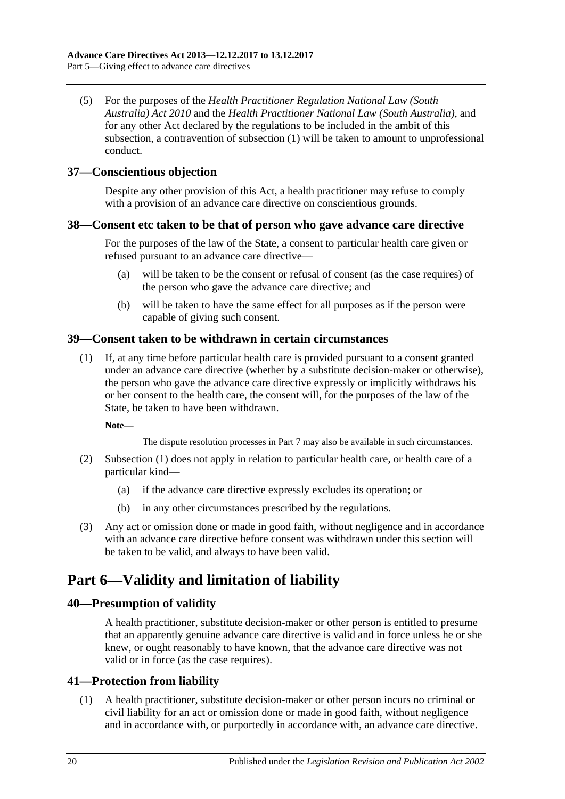(5) For the purposes of the *[Health Practitioner Regulation National Law \(South](http://www.legislation.sa.gov.au/index.aspx?action=legref&type=act&legtitle=Health%20Practitioner%20Regulation%20National%20Law%20(South%20Australia)%20Act%202010)  [Australia\) Act](http://www.legislation.sa.gov.au/index.aspx?action=legref&type=act&legtitle=Health%20Practitioner%20Regulation%20National%20Law%20(South%20Australia)%20Act%202010) 2010* and the *[Health Practitioner National Law](http://www.legislation.sa.gov.au/index.aspx?action=legref&type=act&legtitle=Health%20Practitioner%20National%20Law%20(South%20Australia)) (South Australia)*, and for any other Act declared by the regulations to be included in the ambit of this subsection, a contravention of [subsection](#page-18-1) (1) will be taken to amount to unprofessional conduct.

## <span id="page-19-0"></span>**37—Conscientious objection**

Despite any other provision of this Act, a health practitioner may refuse to comply with a provision of an advance care directive on conscientious grounds.

## <span id="page-19-1"></span>**38—Consent etc taken to be that of person who gave advance care directive**

For the purposes of the law of the State, a consent to particular health care given or refused pursuant to an advance care directive—

- (a) will be taken to be the consent or refusal of consent (as the case requires) of the person who gave the advance care directive; and
- (b) will be taken to have the same effect for all purposes as if the person were capable of giving such consent.

## <span id="page-19-6"></span><span id="page-19-2"></span>**39—Consent taken to be withdrawn in certain circumstances**

(1) If, at any time before particular health care is provided pursuant to a consent granted under an advance care directive (whether by a substitute decision-maker or otherwise), the person who gave the advance care directive expressly or implicitly withdraws his or her consent to the health care, the consent will, for the purposes of the law of the State, be taken to have been withdrawn.

**Note—**

The dispute resolution processes in [Part](#page-20-1) 7 may also be available in such circumstances.

- (2) [Subsection](#page-19-6) (1) does not apply in relation to particular health care, or health care of a particular kind—
	- (a) if the advance care directive expressly excludes its operation; or
	- (b) in any other circumstances prescribed by the regulations.
- (3) Any act or omission done or made in good faith, without negligence and in accordance with an advance care directive before consent was withdrawn under this section will be taken to be valid, and always to have been valid.

# <span id="page-19-3"></span>**Part 6—Validity and limitation of liability**

## <span id="page-19-4"></span>**40—Presumption of validity**

A health practitioner, substitute decision-maker or other person is entitled to presume that an apparently genuine advance care directive is valid and in force unless he or she knew, or ought reasonably to have known, that the advance care directive was not valid or in force (as the case requires).

## <span id="page-19-5"></span>**41—Protection from liability**

(1) A health practitioner, substitute decision-maker or other person incurs no criminal or civil liability for an act or omission done or made in good faith, without negligence and in accordance with, or purportedly in accordance with, an advance care directive.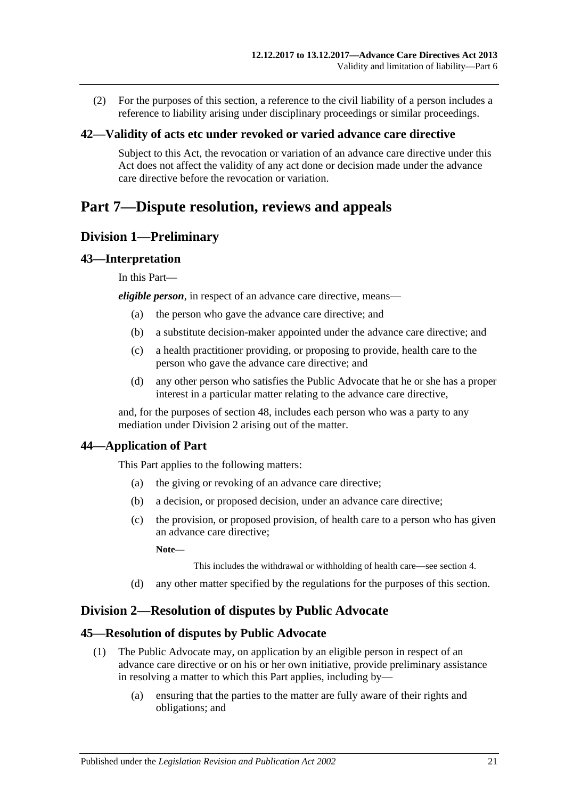(2) For the purposes of this section, a reference to the civil liability of a person includes a reference to liability arising under disciplinary proceedings or similar proceedings.

## <span id="page-20-0"></span>**42—Validity of acts etc under revoked or varied advance care directive**

Subject to this Act, the revocation or variation of an advance care directive under this Act does not affect the validity of any act done or decision made under the advance care directive before the revocation or variation.

# <span id="page-20-1"></span>**Part 7—Dispute resolution, reviews and appeals**

## <span id="page-20-2"></span>**Division 1—Preliminary**

## <span id="page-20-3"></span>**43—Interpretation**

In this Part—

*eligible person*, in respect of an advance care directive, means—

- (a) the person who gave the advance care directive; and
- (b) a substitute decision-maker appointed under the advance care directive; and
- (c) a health practitioner providing, or proposing to provide, health care to the person who gave the advance care directive; and
- (d) any other person who satisfies the Public Advocate that he or she has a proper interest in a particular matter relating to the advance care directive,

and, for the purposes of [section](#page-22-4) 48, includes each person who was a party to any mediation under [Division](#page-20-5) 2 arising out of the matter.

## <span id="page-20-4"></span>**44—Application of Part**

This Part applies to the following matters:

- (a) the giving or revoking of an advance care directive;
- (b) a decision, or proposed decision, under an advance care directive;
- (c) the provision, or proposed provision, of health care to a person who has given an advance care directive;

**Note—**

This includes the withdrawal or withholding of health care—see [section](#page-4-0) 4.

(d) any other matter specified by the regulations for the purposes of this section.

## <span id="page-20-5"></span>**Division 2—Resolution of disputes by Public Advocate**

## <span id="page-20-6"></span>**45—Resolution of disputes by Public Advocate**

- (1) The Public Advocate may, on application by an eligible person in respect of an advance care directive or on his or her own initiative, provide preliminary assistance in resolving a matter to which this Part applies, including by—
	- (a) ensuring that the parties to the matter are fully aware of their rights and obligations; and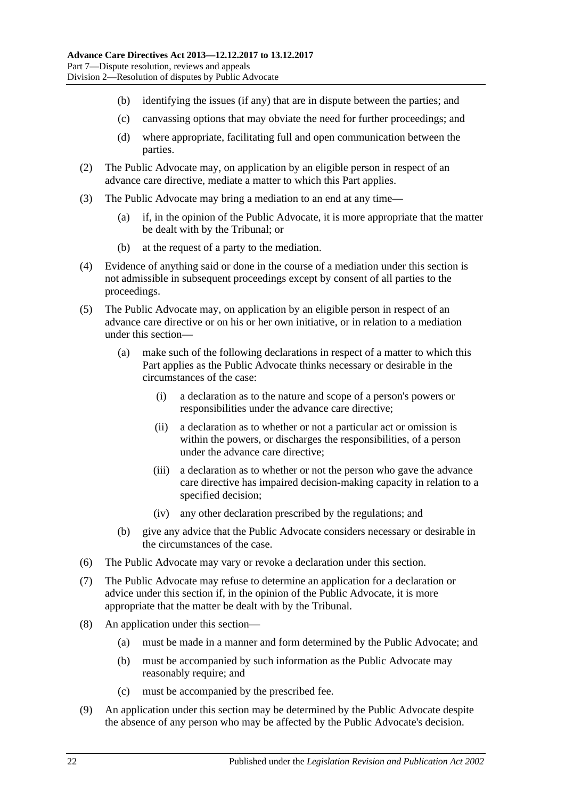- (b) identifying the issues (if any) that are in dispute between the parties; and
- (c) canvassing options that may obviate the need for further proceedings; and
- (d) where appropriate, facilitating full and open communication between the parties.
- (2) The Public Advocate may, on application by an eligible person in respect of an advance care directive, mediate a matter to which this Part applies.
- (3) The Public Advocate may bring a mediation to an end at any time—
	- (a) if, in the opinion of the Public Advocate, it is more appropriate that the matter be dealt with by the Tribunal; or
	- (b) at the request of a party to the mediation.
- (4) Evidence of anything said or done in the course of a mediation under this section is not admissible in subsequent proceedings except by consent of all parties to the proceedings.
- (5) The Public Advocate may, on application by an eligible person in respect of an advance care directive or on his or her own initiative, or in relation to a mediation under this section—
	- (a) make such of the following declarations in respect of a matter to which this Part applies as the Public Advocate thinks necessary or desirable in the circumstances of the case:
		- (i) a declaration as to the nature and scope of a person's powers or responsibilities under the advance care directive;
		- (ii) a declaration as to whether or not a particular act or omission is within the powers, or discharges the responsibilities, of a person under the advance care directive;
		- (iii) a declaration as to whether or not the person who gave the advance care directive has impaired decision-making capacity in relation to a specified decision;
		- (iv) any other declaration prescribed by the regulations; and
	- (b) give any advice that the Public Advocate considers necessary or desirable in the circumstances of the case.
- (6) The Public Advocate may vary or revoke a declaration under this section.
- (7) The Public Advocate may refuse to determine an application for a declaration or advice under this section if, in the opinion of the Public Advocate, it is more appropriate that the matter be dealt with by the Tribunal.
- (8) An application under this section—
	- (a) must be made in a manner and form determined by the Public Advocate; and
	- (b) must be accompanied by such information as the Public Advocate may reasonably require; and
	- (c) must be accompanied by the prescribed fee.
- (9) An application under this section may be determined by the Public Advocate despite the absence of any person who may be affected by the Public Advocate's decision.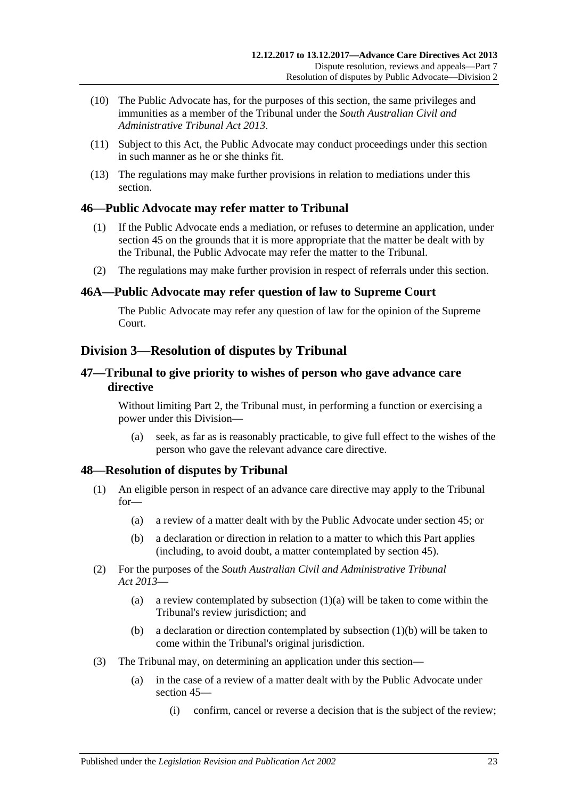- (10) The Public Advocate has, for the purposes of this section, the same privileges and immunities as a member of the Tribunal under the *[South Australian Civil and](http://www.legislation.sa.gov.au/index.aspx?action=legref&type=act&legtitle=South%20Australian%20Civil%20and%20Administrative%20Tribunal%20Act%202013)  [Administrative Tribunal Act](http://www.legislation.sa.gov.au/index.aspx?action=legref&type=act&legtitle=South%20Australian%20Civil%20and%20Administrative%20Tribunal%20Act%202013) 2013*.
- (11) Subject to this Act, the Public Advocate may conduct proceedings under this section in such manner as he or she thinks fit.
- (13) The regulations may make further provisions in relation to mediations under this section.

## <span id="page-22-0"></span>**46—Public Advocate may refer matter to Tribunal**

- (1) If the Public Advocate ends a mediation, or refuses to determine an application, under [section](#page-20-6) 45 on the grounds that it is more appropriate that the matter be dealt with by the Tribunal, the Public Advocate may refer the matter to the Tribunal.
- (2) The regulations may make further provision in respect of referrals under this section.

## <span id="page-22-1"></span>**46A—Public Advocate may refer question of law to Supreme Court**

The Public Advocate may refer any question of law for the opinion of the Supreme Court.

## <span id="page-22-2"></span>**Division 3—Resolution of disputes by Tribunal**

## <span id="page-22-3"></span>**47—Tribunal to give priority to wishes of person who gave advance care directive**

Without limiting [Part](#page-5-2) 2, the Tribunal must, in performing a function or exercising a power under this Division—

(a) seek, as far as is reasonably practicable, to give full effect to the wishes of the person who gave the relevant advance care directive.

## <span id="page-22-4"></span>**48—Resolution of disputes by Tribunal**

- <span id="page-22-5"></span>(1) An eligible person in respect of an advance care directive may apply to the Tribunal for—
	- (a) a review of a matter dealt with by the Public Advocate under [section](#page-20-6) 45; or
	- (b) a declaration or direction in relation to a matter to which this Part applies (including, to avoid doubt, a matter contemplated by [section](#page-20-6) 45).
- <span id="page-22-6"></span>(2) For the purposes of the *[South Australian Civil and Administrative Tribunal](http://www.legislation.sa.gov.au/index.aspx?action=legref&type=act&legtitle=South%20Australian%20Civil%20and%20Administrative%20Tribunal%20Act%202013)  Act [2013](http://www.legislation.sa.gov.au/index.aspx?action=legref&type=act&legtitle=South%20Australian%20Civil%20and%20Administrative%20Tribunal%20Act%202013)*
	- (a) a review contemplated by [subsection](#page-22-5)  $(1)(a)$  will be taken to come within the Tribunal's review jurisdiction; and
	- (b) a declaration or direction contemplated by [subsection](#page-22-6) (1)(b) will be taken to come within the Tribunal's original jurisdiction.
- (3) The Tribunal may, on determining an application under this section—
	- (a) in the case of a review of a matter dealt with by the Public Advocate under [section](#page-20-6) 45—
		- (i) confirm, cancel or reverse a decision that is the subject of the review;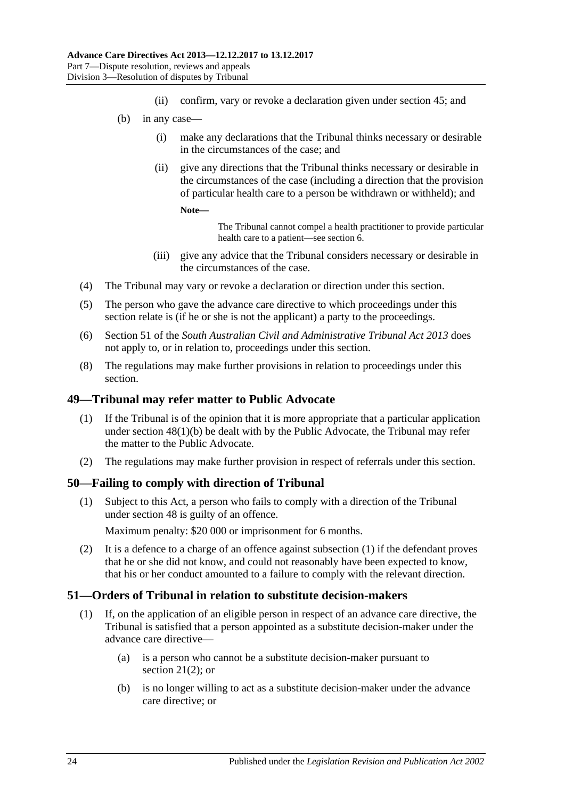- (ii) confirm, vary or revoke a declaration given under [section](#page-20-6) 45; and
- (b) in any case—
	- (i) make any declarations that the Tribunal thinks necessary or desirable in the circumstances of the case; and
	- (ii) give any directions that the Tribunal thinks necessary or desirable in the circumstances of the case (including a direction that the provision of particular health care to a person be withdrawn or withheld); and

```
Note—
```
The Tribunal cannot compel a health practitioner to provide particular health care to a patient—se[e section](#page-4-2) 6.

- (iii) give any advice that the Tribunal considers necessary or desirable in the circumstances of the case.
- (4) The Tribunal may vary or revoke a declaration or direction under this section.
- (5) The person who gave the advance care directive to which proceedings under this section relate is (if he or she is not the applicant) a party to the proceedings.
- (6) Section 51 of the *[South Australian Civil and Administrative Tribunal Act](http://www.legislation.sa.gov.au/index.aspx?action=legref&type=act&legtitle=South%20Australian%20Civil%20and%20Administrative%20Tribunal%20Act%202013) 2013* does not apply to, or in relation to, proceedings under this section.
- (8) The regulations may make further provisions in relation to proceedings under this section.

## <span id="page-23-0"></span>**49—Tribunal may refer matter to Public Advocate**

- (1) If the Tribunal is of the opinion that it is more appropriate that a particular application under section [48\(1\)\(b\)](#page-22-6) be dealt with by the Public Advocate, the Tribunal may refer the matter to the Public Advocate.
- (2) The regulations may make further provision in respect of referrals under this section.

## <span id="page-23-3"></span><span id="page-23-1"></span>**50—Failing to comply with direction of Tribunal**

(1) Subject to this Act, a person who fails to comply with a direction of the Tribunal under [section](#page-22-4) 48 is guilty of an offence.

Maximum penalty: \$20 000 or imprisonment for 6 months.

(2) It is a defence to a charge of an offence against [subsection](#page-23-3) (1) if the defendant proves that he or she did not know, and could not reasonably have been expected to know, that his or her conduct amounted to a failure to comply with the relevant direction.

## <span id="page-23-2"></span>**51—Orders of Tribunal in relation to substitute decision-makers**

- (1) If, on the application of an eligible person in respect of an advance care directive, the Tribunal is satisfied that a person appointed as a substitute decision-maker under the advance care directive—
	- (a) is a person who cannot be a substitute decision-maker pursuant to [section](#page-12-6)  $21(2)$ ; or
	- (b) is no longer willing to act as a substitute decision-maker under the advance care directive; or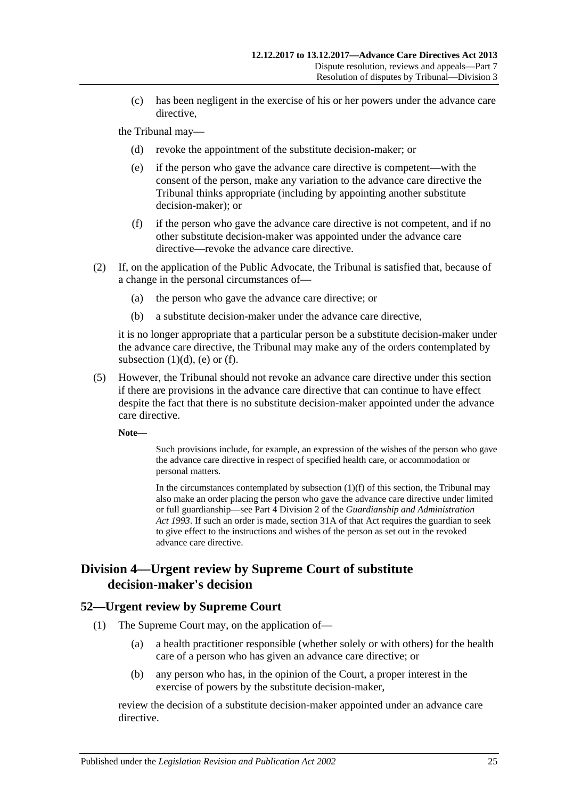(c) has been negligent in the exercise of his or her powers under the advance care directive,

<span id="page-24-3"></span><span id="page-24-2"></span>the Tribunal may—

- (d) revoke the appointment of the substitute decision-maker; or
- (e) if the person who gave the advance care directive is competent—with the consent of the person, make any variation to the advance care directive the Tribunal thinks appropriate (including by appointing another substitute decision-maker); or
- (f) if the person who gave the advance care directive is not competent, and if no other substitute decision-maker was appointed under the advance care directive—revoke the advance care directive.
- <span id="page-24-4"></span>(2) If, on the application of the Public Advocate, the Tribunal is satisfied that, because of a change in the personal circumstances of—
	- (a) the person who gave the advance care directive; or
	- (b) a substitute decision-maker under the advance care directive,

it is no longer appropriate that a particular person be a substitute decision-maker under the advance care directive, the Tribunal may make any of the orders contemplated by [subsection](#page-24-2)  $(1)(d)$ ,  $(e)$  or  $(f)$ .

(5) However, the Tribunal should not revoke an advance care directive under this section if there are provisions in the advance care directive that can continue to have effect despite the fact that there is no substitute decision-maker appointed under the advance care directive.

**Note—**

Such provisions include, for example, an expression of the wishes of the person who gave the advance care directive in respect of specified health care, or accommodation or personal matters.

In the circumstances contemplated by [subsection](#page-24-4)  $(1)(f)$  of this section, the Tribunal may also make an order placing the person who gave the advance care directive under limited or full guardianship—see Part 4 Division 2 of the *[Guardianship and Administration](http://www.legislation.sa.gov.au/index.aspx?action=legref&type=act&legtitle=Guardianship%20and%20Administration%20Act%201993)  Act [1993](http://www.legislation.sa.gov.au/index.aspx?action=legref&type=act&legtitle=Guardianship%20and%20Administration%20Act%201993)*. If such an order is made, section 31A of that Act requires the guardian to seek to give effect to the instructions and wishes of the person as set out in the revoked advance care directive.

## <span id="page-24-0"></span>**Division 4—Urgent review by Supreme Court of substitute decision-maker's decision**

## <span id="page-24-1"></span>**52—Urgent review by Supreme Court**

- (1) The Supreme Court may, on the application of—
	- (a) a health practitioner responsible (whether solely or with others) for the health care of a person who has given an advance care directive; or
	- (b) any person who has, in the opinion of the Court, a proper interest in the exercise of powers by the substitute decision-maker,

review the decision of a substitute decision-maker appointed under an advance care directive.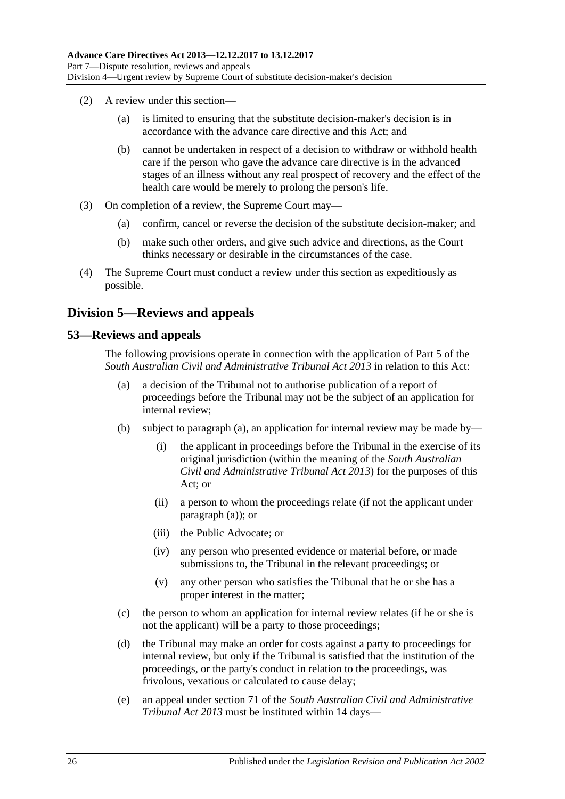- (2) A review under this section—
	- (a) is limited to ensuring that the substitute decision-maker's decision is in accordance with the advance care directive and this Act; and
	- (b) cannot be undertaken in respect of a decision to withdraw or withhold health care if the person who gave the advance care directive is in the advanced stages of an illness without any real prospect of recovery and the effect of the health care would be merely to prolong the person's life.
- (3) On completion of a review, the Supreme Court may—
	- (a) confirm, cancel or reverse the decision of the substitute decision-maker; and
	- (b) make such other orders, and give such advice and directions, as the Court thinks necessary or desirable in the circumstances of the case.
- (4) The Supreme Court must conduct a review under this section as expeditiously as possible.

## <span id="page-25-0"></span>**Division 5—Reviews and appeals**

## <span id="page-25-2"></span><span id="page-25-1"></span>**53—Reviews and appeals**

The following provisions operate in connection with the application of Part 5 of the *[South Australian Civil and Administrative Tribunal Act](http://www.legislation.sa.gov.au/index.aspx?action=legref&type=act&legtitle=South%20Australian%20Civil%20and%20Administrative%20Tribunal%20Act%202013) 2013* in relation to this Act:

- (a) a decision of the Tribunal not to authorise publication of a report of proceedings before the Tribunal may not be the subject of an application for internal review;
- (b) subject to [paragraph](#page-25-2) (a), an application for internal review may be made by—
	- (i) the applicant in proceedings before the Tribunal in the exercise of its original jurisdiction (within the meaning of the *[South Australian](http://www.legislation.sa.gov.au/index.aspx?action=legref&type=act&legtitle=South%20Australian%20Civil%20and%20Administrative%20Tribunal%20Act%202013)  [Civil and Administrative Tribunal Act](http://www.legislation.sa.gov.au/index.aspx?action=legref&type=act&legtitle=South%20Australian%20Civil%20and%20Administrative%20Tribunal%20Act%202013) 2013*) for the purposes of this Act; or
	- (ii) a person to whom the proceedings relate (if not the applicant under [paragraph](#page-25-2) (a)); or
	- (iii) the Public Advocate; or
	- (iv) any person who presented evidence or material before, or made submissions to, the Tribunal in the relevant proceedings; or
	- (v) any other person who satisfies the Tribunal that he or she has a proper interest in the matter;
- (c) the person to whom an application for internal review relates (if he or she is not the applicant) will be a party to those proceedings;
- (d) the Tribunal may make an order for costs against a party to proceedings for internal review, but only if the Tribunal is satisfied that the institution of the proceedings, or the party's conduct in relation to the proceedings, was frivolous, vexatious or calculated to cause delay;
- (e) an appeal under section 71 of the *[South Australian Civil and Administrative](http://www.legislation.sa.gov.au/index.aspx?action=legref&type=act&legtitle=South%20Australian%20Civil%20and%20Administrative%20Tribunal%20Act%202013)  [Tribunal Act](http://www.legislation.sa.gov.au/index.aspx?action=legref&type=act&legtitle=South%20Australian%20Civil%20and%20Administrative%20Tribunal%20Act%202013) 2013* must be instituted within 14 days—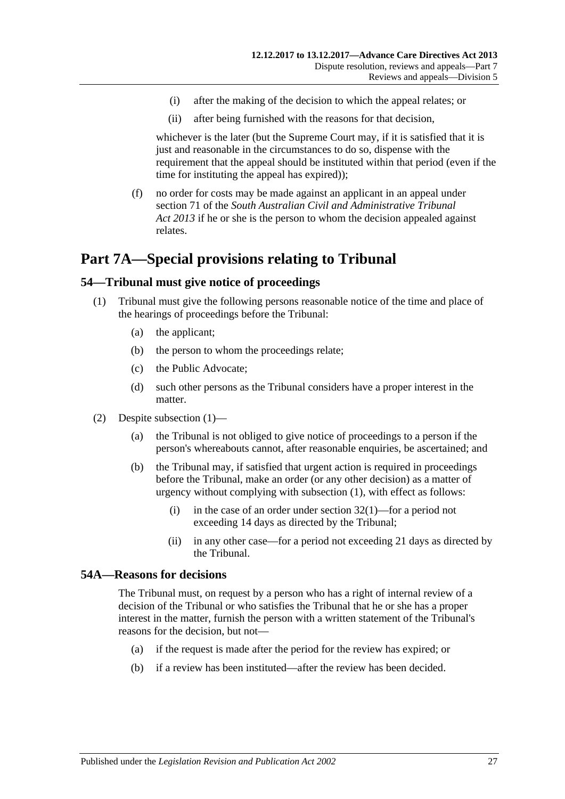- (i) after the making of the decision to which the appeal relates; or
- (ii) after being furnished with the reasons for that decision,

whichever is the later (but the Supreme Court may, if it is satisfied that it is just and reasonable in the circumstances to do so, dispense with the requirement that the appeal should be instituted within that period (even if the time for instituting the appeal has expired));

(f) no order for costs may be made against an applicant in an appeal under section 71 of the *[South Australian Civil and Administrative Tribunal](http://www.legislation.sa.gov.au/index.aspx?action=legref&type=act&legtitle=South%20Australian%20Civil%20and%20Administrative%20Tribunal%20Act%202013)  Act [2013](http://www.legislation.sa.gov.au/index.aspx?action=legref&type=act&legtitle=South%20Australian%20Civil%20and%20Administrative%20Tribunal%20Act%202013)* if he or she is the person to whom the decision appealed against relates.

# <span id="page-26-0"></span>**Part 7A—Special provisions relating to Tribunal**

## <span id="page-26-3"></span><span id="page-26-1"></span>**54—Tribunal must give notice of proceedings**

- (1) Tribunal must give the following persons reasonable notice of the time and place of the hearings of proceedings before the Tribunal:
	- (a) the applicant;
	- (b) the person to whom the proceedings relate;
	- (c) the Public Advocate;
	- (d) such other persons as the Tribunal considers have a proper interest in the matter.
- (2) Despite [subsection](#page-26-3) (1)—
	- (a) the Tribunal is not obliged to give notice of proceedings to a person if the person's whereabouts cannot, after reasonable enquiries, be ascertained; and
	- (b) the Tribunal may, if satisfied that urgent action is required in proceedings before the Tribunal, make an order (or any other decision) as a matter of urgency without complying with [subsection](#page-26-3) (1), with effect as follows:
		- (i) in the case of an order under [section](#page-15-6)  $32(1)$ —for a period not exceeding 14 days as directed by the Tribunal;
		- (ii) in any other case—for a period not exceeding 21 days as directed by the Tribunal.

## <span id="page-26-2"></span>**54A—Reasons for decisions**

The Tribunal must, on request by a person who has a right of internal review of a decision of the Tribunal or who satisfies the Tribunal that he or she has a proper interest in the matter, furnish the person with a written statement of the Tribunal's reasons for the decision, but not—

- (a) if the request is made after the period for the review has expired; or
- (b) if a review has been instituted—after the review has been decided.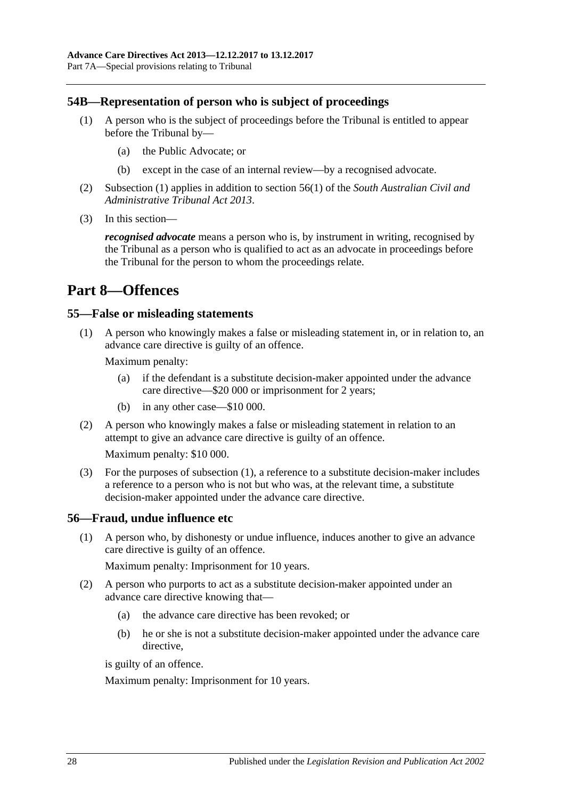## <span id="page-27-4"></span><span id="page-27-0"></span>**54B—Representation of person who is subject of proceedings**

- (1) A person who is the subject of proceedings before the Tribunal is entitled to appear before the Tribunal by—
	- (a) the Public Advocate; or
	- (b) except in the case of an internal review—by a recognised advocate.
- (2) [Subsection](#page-27-4) (1) applies in addition to section 56(1) of the *[South Australian Civil and](http://www.legislation.sa.gov.au/index.aspx?action=legref&type=act&legtitle=South%20Australian%20Civil%20and%20Administrative%20Tribunal%20Act%202013)  [Administrative Tribunal Act](http://www.legislation.sa.gov.au/index.aspx?action=legref&type=act&legtitle=South%20Australian%20Civil%20and%20Administrative%20Tribunal%20Act%202013) 2013*.
- (3) In this section—

*recognised advocate* means a person who is, by instrument in writing, recognised by the Tribunal as a person who is qualified to act as an advocate in proceedings before the Tribunal for the person to whom the proceedings relate.

# <span id="page-27-1"></span>**Part 8—Offences**

## <span id="page-27-5"></span><span id="page-27-2"></span>**55—False or misleading statements**

(1) A person who knowingly makes a false or misleading statement in, or in relation to, an advance care directive is guilty of an offence.

Maximum penalty:

- (a) if the defendant is a substitute decision-maker appointed under the advance care directive—\$20 000 or imprisonment for 2 years;
- (b) in any other case—\$10 000.
- (2) A person who knowingly makes a false or misleading statement in relation to an attempt to give an advance care directive is guilty of an offence.

Maximum penalty: \$10 000.

(3) For the purposes of [subsection](#page-27-5) (1), a reference to a substitute decision-maker includes a reference to a person who is not but who was, at the relevant time, a substitute decision-maker appointed under the advance care directive.

## <span id="page-27-3"></span>**56—Fraud, undue influence etc**

(1) A person who, by dishonesty or undue influence, induces another to give an advance care directive is guilty of an offence.

Maximum penalty: Imprisonment for 10 years.

- (2) A person who purports to act as a substitute decision-maker appointed under an advance care directive knowing that—
	- (a) the advance care directive has been revoked; or
	- (b) he or she is not a substitute decision-maker appointed under the advance care directive,

is guilty of an offence.

Maximum penalty: Imprisonment for 10 years.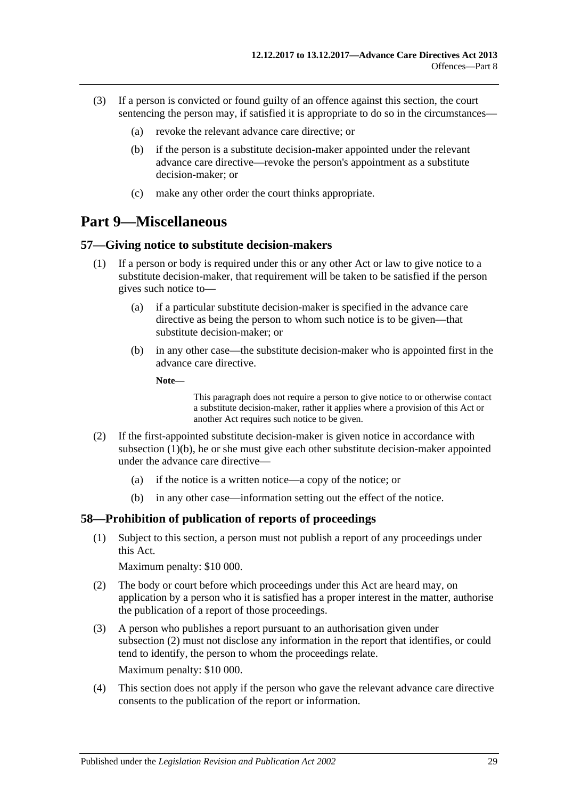- (3) If a person is convicted or found guilty of an offence against this section, the court sentencing the person may, if satisfied it is appropriate to do so in the circumstances—
	- (a) revoke the relevant advance care directive; or
	- (b) if the person is a substitute decision-maker appointed under the relevant advance care directive—revoke the person's appointment as a substitute decision-maker; or
	- (c) make any other order the court thinks appropriate.

# <span id="page-28-0"></span>**Part 9—Miscellaneous**

## <span id="page-28-1"></span>**57—Giving notice to substitute decision-makers**

- <span id="page-28-3"></span>(1) If a person or body is required under this or any other Act or law to give notice to a substitute decision-maker, that requirement will be taken to be satisfied if the person gives such notice to—
	- (a) if a particular substitute decision-maker is specified in the advance care directive as being the person to whom such notice is to be given—that substitute decision-maker; or
	- (b) in any other case—the substitute decision-maker who is appointed first in the advance care directive.

**Note—**

This paragraph does not require a person to give notice to or otherwise contact a substitute decision-maker, rather it applies where a provision of this Act or another Act requires such notice to be given.

- (2) If the first-appointed substitute decision-maker is given notice in accordance with [subsection](#page-28-3) (1)(b), he or she must give each other substitute decision-maker appointed under the advance care directive—
	- (a) if the notice is a written notice—a copy of the notice; or
	- (b) in any other case—information setting out the effect of the notice.

## <span id="page-28-2"></span>**58—Prohibition of publication of reports of proceedings**

(1) Subject to this section, a person must not publish a report of any proceedings under this Act.

Maximum penalty: \$10 000.

- <span id="page-28-4"></span>(2) The body or court before which proceedings under this Act are heard may, on application by a person who it is satisfied has a proper interest in the matter, authorise the publication of a report of those proceedings.
- (3) A person who publishes a report pursuant to an authorisation given under [subsection](#page-28-4) (2) must not disclose any information in the report that identifies, or could tend to identify, the person to whom the proceedings relate. Maximum penalty: \$10 000.
- (4) This section does not apply if the person who gave the relevant advance care directive consents to the publication of the report or information.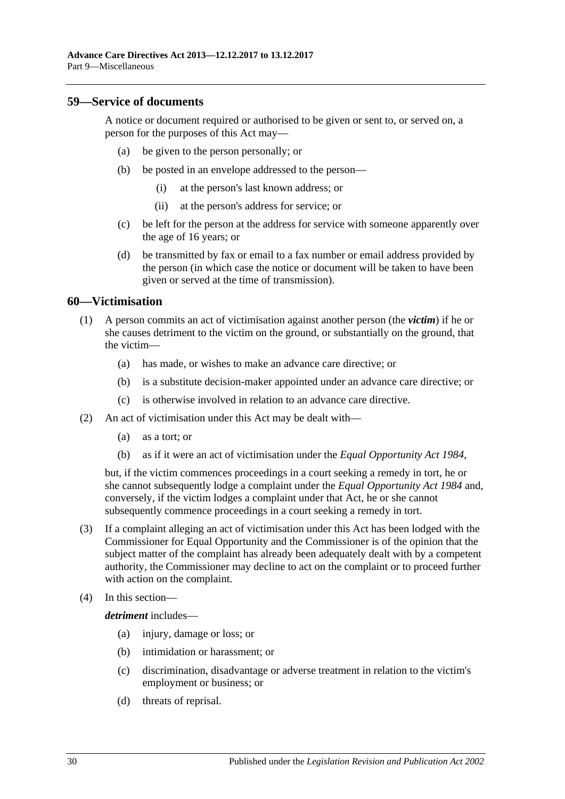## <span id="page-29-0"></span>**59—Service of documents**

A notice or document required or authorised to be given or sent to, or served on, a person for the purposes of this Act may—

- (a) be given to the person personally; or
- (b) be posted in an envelope addressed to the person—
	- (i) at the person's last known address; or
	- (ii) at the person's address for service; or
- (c) be left for the person at the address for service with someone apparently over the age of 16 years; or
- (d) be transmitted by fax or email to a fax number or email address provided by the person (in which case the notice or document will be taken to have been given or served at the time of transmission).

## <span id="page-29-1"></span>**60—Victimisation**

- (1) A person commits an act of victimisation against another person (the *victim*) if he or she causes detriment to the victim on the ground, or substantially on the ground, that the victim—
	- (a) has made, or wishes to make an advance care directive; or
	- (b) is a substitute decision-maker appointed under an advance care directive; or
	- (c) is otherwise involved in relation to an advance care directive.
- (2) An act of victimisation under this Act may be dealt with—
	- (a) as a tort; or
	- (b) as if it were an act of victimisation under the *[Equal Opportunity Act](http://www.legislation.sa.gov.au/index.aspx?action=legref&type=act&legtitle=Equal%20Opportunity%20Act%201984) 1984*,

but, if the victim commences proceedings in a court seeking a remedy in tort, he or she cannot subsequently lodge a complaint under the *[Equal Opportunity Act](http://www.legislation.sa.gov.au/index.aspx?action=legref&type=act&legtitle=Equal%20Opportunity%20Act%201984) 1984* and, conversely, if the victim lodges a complaint under that Act, he or she cannot subsequently commence proceedings in a court seeking a remedy in tort.

- (3) If a complaint alleging an act of victimisation under this Act has been lodged with the Commissioner for Equal Opportunity and the Commissioner is of the opinion that the subject matter of the complaint has already been adequately dealt with by a competent authority, the Commissioner may decline to act on the complaint or to proceed further with action on the complaint.
- (4) In this section—

*detriment* includes—

- (a) injury, damage or loss; or
- (b) intimidation or harassment; or
- (c) discrimination, disadvantage or adverse treatment in relation to the victim's employment or business; or
- (d) threats of reprisal.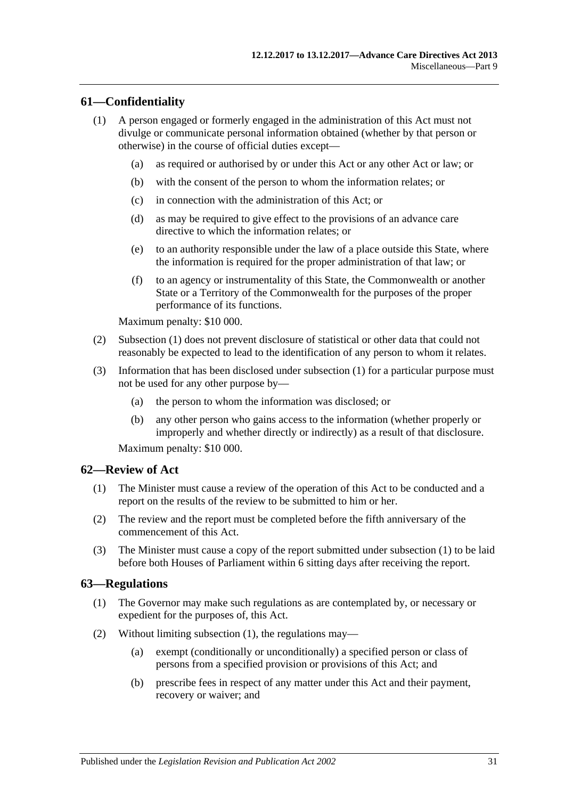## <span id="page-30-3"></span><span id="page-30-0"></span>**61—Confidentiality**

- (1) A person engaged or formerly engaged in the administration of this Act must not divulge or communicate personal information obtained (whether by that person or otherwise) in the course of official duties except—
	- (a) as required or authorised by or under this Act or any other Act or law; or
	- (b) with the consent of the person to whom the information relates; or
	- (c) in connection with the administration of this Act; or
	- (d) as may be required to give effect to the provisions of an advance care directive to which the information relates; or
	- (e) to an authority responsible under the law of a place outside this State, where the information is required for the proper administration of that law; or
	- (f) to an agency or instrumentality of this State, the Commonwealth or another State or a Territory of the Commonwealth for the purposes of the proper performance of its functions.

Maximum penalty: \$10 000.

- (2) [Subsection](#page-30-3) (1) does not prevent disclosure of statistical or other data that could not reasonably be expected to lead to the identification of any person to whom it relates.
- (3) Information that has been disclosed under [subsection](#page-30-3) (1) for a particular purpose must not be used for any other purpose by—
	- (a) the person to whom the information was disclosed; or
	- (b) any other person who gains access to the information (whether properly or improperly and whether directly or indirectly) as a result of that disclosure.

Maximum penalty: \$10 000.

## <span id="page-30-4"></span><span id="page-30-1"></span>**62—Review of Act**

- (1) The Minister must cause a review of the operation of this Act to be conducted and a report on the results of the review to be submitted to him or her.
- (2) The review and the report must be completed before the fifth anniversary of the commencement of this Act.
- (3) The Minister must cause a copy of the report submitted under [subsection](#page-30-4) (1) to be laid before both Houses of Parliament within 6 sitting days after receiving the report.

## <span id="page-30-5"></span><span id="page-30-2"></span>**63—Regulations**

- (1) The Governor may make such regulations as are contemplated by, or necessary or expedient for the purposes of, this Act.
- (2) Without limiting [subsection](#page-30-5) (1), the regulations may—
	- (a) exempt (conditionally or unconditionally) a specified person or class of persons from a specified provision or provisions of this Act; and
	- (b) prescribe fees in respect of any matter under this Act and their payment, recovery or waiver; and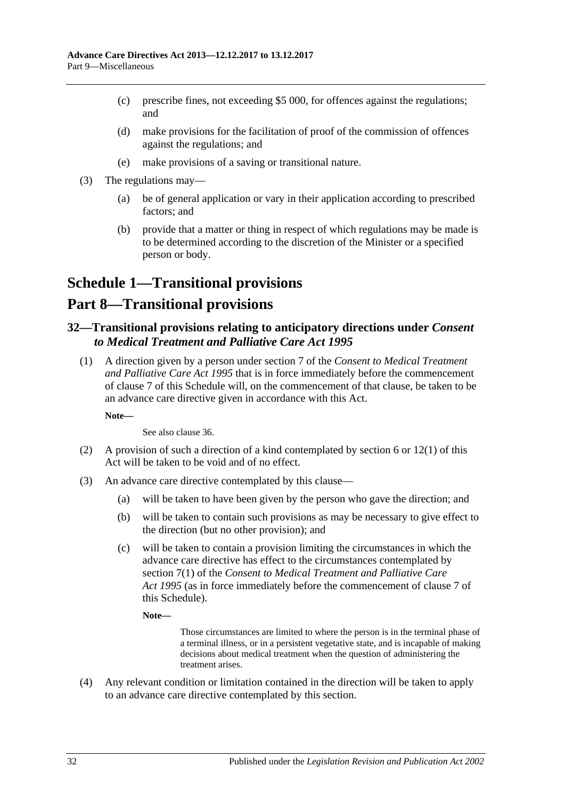- (c) prescribe fines, not exceeding \$5 000, for offences against the regulations; and
- (d) make provisions for the facilitation of proof of the commission of offences against the regulations; and
- (e) make provisions of a saving or transitional nature.
- (3) The regulations may—
	- (a) be of general application or vary in their application according to prescribed factors; and
	- (b) provide that a matter or thing in respect of which regulations may be made is to be determined according to the discretion of the Minister or a specified person or body.

# <span id="page-31-0"></span>**Schedule 1—Transitional provisions**

# **Part 8—Transitional provisions**

## <span id="page-31-1"></span>**32—Transitional provisions relating to anticipatory directions under** *Consent to Medical Treatment and Palliative Care Act 1995*

(1) A direction given by a person under section 7 of the *[Consent to Medical Treatment](http://www.legislation.sa.gov.au/index.aspx?action=legref&type=act&legtitle=Consent%20to%20Medical%20Treatment%20and%20Palliative%20Care%20Act%201995)  [and Palliative Care Act](http://www.legislation.sa.gov.au/index.aspx?action=legref&type=act&legtitle=Consent%20to%20Medical%20Treatment%20and%20Palliative%20Care%20Act%201995) 1995* that is in force immediately before the commencement of clause 7 of this Schedule will, on the commencement of that clause, be taken to be an advance care directive given in accordance with this Act.

**Note—**

See also [clause](#page-34-0) 36.

- <span id="page-31-2"></span>(2) A provision of such a direction of a kind contemplated by [section](#page-4-2) 6 or [12\(1\)](#page-8-1) of this Act will be taken to be void and of no effect.
- <span id="page-31-3"></span>(3) An advance care directive contemplated by this clause—
	- (a) will be taken to have been given by the person who gave the direction; and
	- (b) will be taken to contain such provisions as may be necessary to give effect to the direction (but no other provision); and
	- (c) will be taken to contain a provision limiting the circumstances in which the advance care directive has effect to the circumstances contemplated by section 7(1) of the *[Consent to Medical Treatment and Palliative Care](http://www.legislation.sa.gov.au/index.aspx?action=legref&type=act&legtitle=Consent%20to%20Medical%20Treatment%20and%20Palliative%20Care%20Act%201995)  Act [1995](http://www.legislation.sa.gov.au/index.aspx?action=legref&type=act&legtitle=Consent%20to%20Medical%20Treatment%20and%20Palliative%20Care%20Act%201995)* (as in force immediately before the commencement of clause 7 of this Schedule).
		- **Note—**

Those circumstances are limited to where the person is in the terminal phase of a terminal illness, or in a persistent vegetative state, and is incapable of making decisions about medical treatment when the question of administering the treatment arises.

<span id="page-31-4"></span>(4) Any relevant condition or limitation contained in the direction will be taken to apply to an advance care directive contemplated by this section.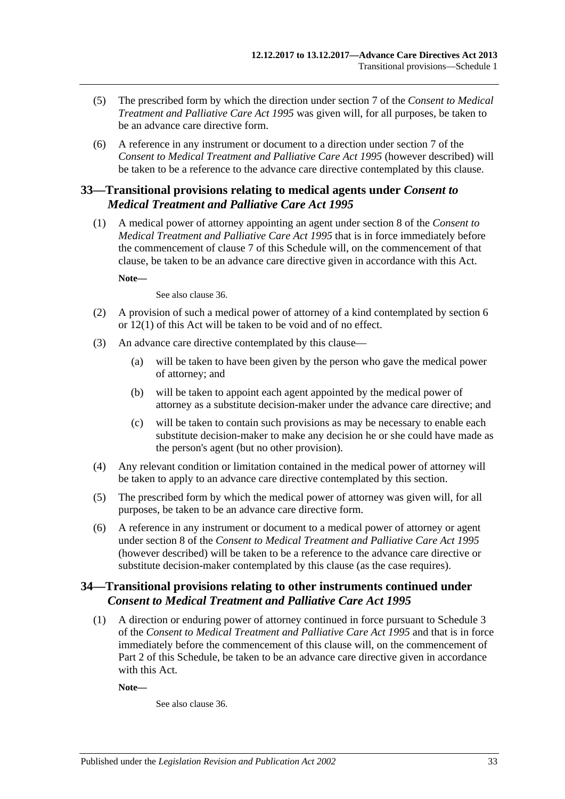- (5) The prescribed form by which the direction under section 7 of the *[Consent to Medical](http://www.legislation.sa.gov.au/index.aspx?action=legref&type=act&legtitle=Consent%20to%20Medical%20Treatment%20and%20Palliative%20Care%20Act%201995)  [Treatment and Palliative Care Act](http://www.legislation.sa.gov.au/index.aspx?action=legref&type=act&legtitle=Consent%20to%20Medical%20Treatment%20and%20Palliative%20Care%20Act%201995) 1995* was given will, for all purposes, be taken to be an advance care directive form.
- (6) A reference in any instrument or document to a direction under section 7 of the *[Consent to Medical Treatment and Palliative Care Act](http://www.legislation.sa.gov.au/index.aspx?action=legref&type=act&legtitle=Consent%20to%20Medical%20Treatment%20and%20Palliative%20Care%20Act%201995) 1995* (however described) will be taken to be a reference to the advance care directive contemplated by this clause.

## <span id="page-32-0"></span>**33—Transitional provisions relating to medical agents under** *Consent to Medical Treatment and Palliative Care Act 1995*

(1) A medical power of attorney appointing an agent under section 8 of the *[Consent to](http://www.legislation.sa.gov.au/index.aspx?action=legref&type=act&legtitle=Consent%20to%20Medical%20Treatment%20and%20Palliative%20Care%20Act%201995)  [Medical Treatment and Palliative Care Act](http://www.legislation.sa.gov.au/index.aspx?action=legref&type=act&legtitle=Consent%20to%20Medical%20Treatment%20and%20Palliative%20Care%20Act%201995) 1995* that is in force immediately before the commencement of clause 7 of this Schedule will, on the commencement of that clause, be taken to be an advance care directive given in accordance with this Act.

**Note—**

See also [clause](#page-34-0) 36.

- <span id="page-32-2"></span>(2) A provision of such a medical power of attorney of a kind contemplated by [section](#page-4-2) 6 or [12\(1\)](#page-8-1) of this Act will be taken to be void and of no effect.
- <span id="page-32-3"></span>(3) An advance care directive contemplated by this clause—
	- (a) will be taken to have been given by the person who gave the medical power of attorney; and
	- (b) will be taken to appoint each agent appointed by the medical power of attorney as a substitute decision-maker under the advance care directive; and
	- (c) will be taken to contain such provisions as may be necessary to enable each substitute decision-maker to make any decision he or she could have made as the person's agent (but no other provision).
- <span id="page-32-4"></span>(4) Any relevant condition or limitation contained in the medical power of attorney will be taken to apply to an advance care directive contemplated by this section.
- (5) The prescribed form by which the medical power of attorney was given will, for all purposes, be taken to be an advance care directive form.
- (6) A reference in any instrument or document to a medical power of attorney or agent under section 8 of the *[Consent to Medical Treatment and Palliative Care Act](http://www.legislation.sa.gov.au/index.aspx?action=legref&type=act&legtitle=Consent%20to%20Medical%20Treatment%20and%20Palliative%20Care%20Act%201995) 1995* (however described) will be taken to be a reference to the advance care directive or substitute decision-maker contemplated by this clause (as the case requires).

## <span id="page-32-1"></span>**34—Transitional provisions relating to other instruments continued under**  *Consent to Medical Treatment and Palliative Care Act 1995*

(1) A direction or enduring power of attorney continued in force pursuant to Schedule 3 of the *[Consent to Medical Treatment and Palliative Care Act](http://www.legislation.sa.gov.au/index.aspx?action=legref&type=act&legtitle=Consent%20to%20Medical%20Treatment%20and%20Palliative%20Care%20Act%201995) 1995* and that is in force immediately before the commencement of this clause will, on the commencement of Part 2 of this Schedule, be taken to be an advance care directive given in accordance with this Act.

**Note—**

See also [clause](#page-34-0) 36.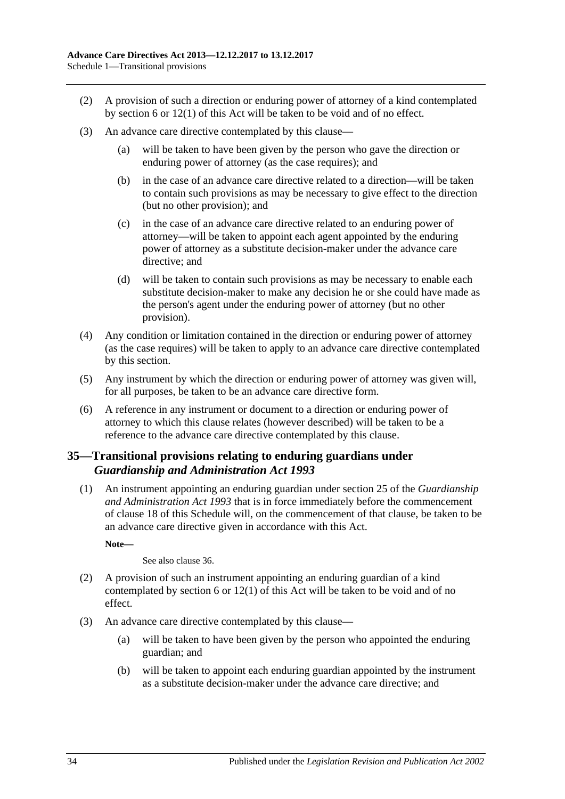- <span id="page-33-1"></span>(2) A provision of such a direction or enduring power of attorney of a kind contemplated by [section](#page-4-2) 6 or [12\(1\)](#page-8-1) of this Act will be taken to be void and of no effect.
- <span id="page-33-2"></span>(3) An advance care directive contemplated by this clause—
	- (a) will be taken to have been given by the person who gave the direction or enduring power of attorney (as the case requires); and
	- (b) in the case of an advance care directive related to a direction—will be taken to contain such provisions as may be necessary to give effect to the direction (but no other provision); and
	- (c) in the case of an advance care directive related to an enduring power of attorney—will be taken to appoint each agent appointed by the enduring power of attorney as a substitute decision-maker under the advance care directive; and
	- (d) will be taken to contain such provisions as may be necessary to enable each substitute decision-maker to make any decision he or she could have made as the person's agent under the enduring power of attorney (but no other provision).
- <span id="page-33-3"></span>(4) Any condition or limitation contained in the direction or enduring power of attorney (as the case requires) will be taken to apply to an advance care directive contemplated by this section.
- (5) Any instrument by which the direction or enduring power of attorney was given will, for all purposes, be taken to be an advance care directive form.
- (6) A reference in any instrument or document to a direction or enduring power of attorney to which this clause relates (however described) will be taken to be a reference to the advance care directive contemplated by this clause.

## <span id="page-33-0"></span>**35—Transitional provisions relating to enduring guardians under**  *Guardianship and Administration Act 1993*

(1) An instrument appointing an enduring guardian under section 25 of the *[Guardianship](http://www.legislation.sa.gov.au/index.aspx?action=legref&type=act&legtitle=Guardianship%20and%20Administration%20Act%201993)  [and Administration Act](http://www.legislation.sa.gov.au/index.aspx?action=legref&type=act&legtitle=Guardianship%20and%20Administration%20Act%201993) 1993* that is in force immediately before the commencement of clause 18 of this Schedule will, on the commencement of that clause, be taken to be an advance care directive given in accordance with this Act.

**Note—**

See also [clause](#page-34-0) 36.

- <span id="page-33-4"></span>(2) A provision of such an instrument appointing an enduring guardian of a kind contemplated by [section](#page-4-2) 6 or [12\(1\)](#page-8-1) of this Act will be taken to be void and of no effect.
- <span id="page-33-5"></span>(3) An advance care directive contemplated by this clause—
	- (a) will be taken to have been given by the person who appointed the enduring guardian; and
	- (b) will be taken to appoint each enduring guardian appointed by the instrument as a substitute decision-maker under the advance care directive; and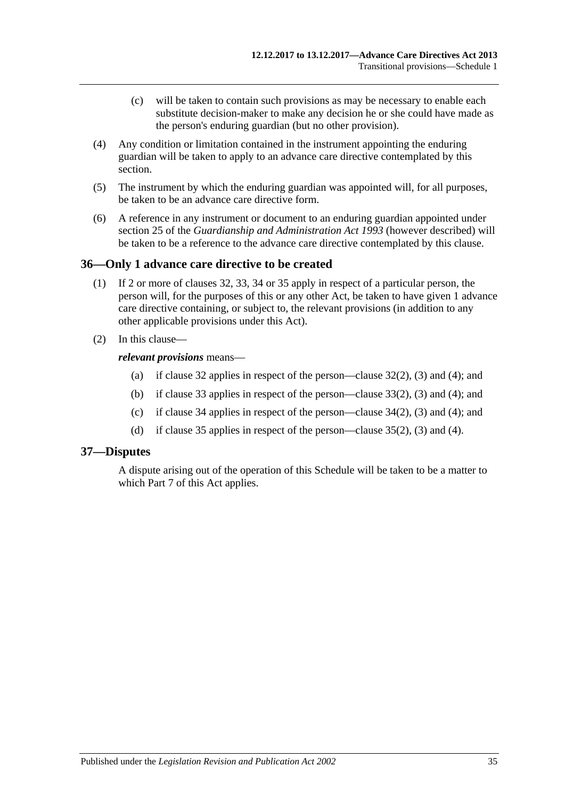- (c) will be taken to contain such provisions as may be necessary to enable each substitute decision-maker to make any decision he or she could have made as the person's enduring guardian (but no other provision).
- <span id="page-34-2"></span>(4) Any condition or limitation contained in the instrument appointing the enduring guardian will be taken to apply to an advance care directive contemplated by this section.
- (5) The instrument by which the enduring guardian was appointed will, for all purposes, be taken to be an advance care directive form.
- (6) A reference in any instrument or document to an enduring guardian appointed under section 25 of the *[Guardianship and Administration Act](http://www.legislation.sa.gov.au/index.aspx?action=legref&type=act&legtitle=Guardianship%20and%20Administration%20Act%201993) 1993* (however described) will be taken to be a reference to the advance care directive contemplated by this clause.

## <span id="page-34-0"></span>**36—Only 1 advance care directive to be created**

- (1) If 2 or more of [clauses](#page-31-1) 32, [33,](#page-32-0) [34](#page-32-1) or [35](#page-33-0) apply in respect of a particular person, the person will, for the purposes of this or any other Act, be taken to have given 1 advance care directive containing, or subject to, the relevant provisions (in addition to any other applicable provisions under this Act).
- (2) In this clause—

## *relevant provisions* means—

- (a) if [clause](#page-31-1) 32 applies in respect of the person[—clause](#page-31-2) 32(2), [\(3\)](#page-31-3) and [\(4\);](#page-31-4) and
- (b) if [clause](#page-32-0) 33 applies in respect of the person[—clause](#page-32-2) 33(2), [\(3\)](#page-32-3) and [\(4\);](#page-32-4) and
- (c) if [clause](#page-32-1) 34 applies in respect of the person[—clause](#page-33-1) 34(2), [\(3\)](#page-33-2) and [\(4\);](#page-33-3) and
- (d) if [clause](#page-33-0) 35 applies in respect of the person[—clause](#page-33-4) 35(2), [\(3\)](#page-33-5) and [\(4\).](#page-34-2)

## <span id="page-34-1"></span>**37—Disputes**

A dispute arising out of the operation of this Schedule will be taken to be a matter to which [Part](#page-20-1) 7 of this Act applies.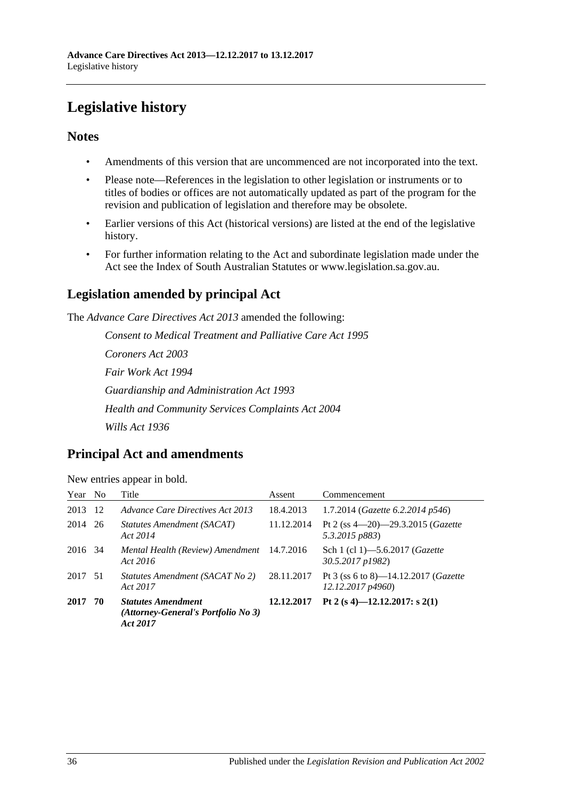# <span id="page-35-0"></span>**Legislative history**

## **Notes**

- Amendments of this version that are uncommenced are not incorporated into the text.
- Please note—References in the legislation to other legislation or instruments or to titles of bodies or offices are not automatically updated as part of the program for the revision and publication of legislation and therefore may be obsolete.
- Earlier versions of this Act (historical versions) are listed at the end of the legislative history.
- For further information relating to the Act and subordinate legislation made under the Act see the Index of South Australian Statutes or www.legislation.sa.gov.au.

# **Legislation amended by principal Act**

The *Advance Care Directives Act 2013* amended the following:

*Consent to Medical Treatment and Palliative Care Act 1995 Coroners Act 2003 Fair Work Act 1994 Guardianship and Administration Act 1993 Health and Community Services Complaints Act 2004 Wills Act 1936*

## **Principal Act and amendments**

New entries appear in bold.

| Year    | N <sub>0</sub> | Title                                                                        | Assent     | Commencement                                                      |
|---------|----------------|------------------------------------------------------------------------------|------------|-------------------------------------------------------------------|
| 2013    | -12            | Advance Care Directives Act 2013                                             | 18.4.2013  | 1.7.2014 (Gazette 6.2.2014 p546)                                  |
| 2014    | -26            | Statutes Amendment (SACAT)<br>Act 2014                                       | 11.12.2014 | Pt 2 (ss 4-20)-29.3.2015 (Gazette<br>5.3.2015 p883)               |
| 2016 34 |                | Mental Health (Review) Amendment 14.7.2016<br>Act 2016                       |            | Sch 1 (cl 1)–5.6.2017 ( <i>Gazette</i><br>30.5.2017 p1982)        |
| 2017 51 |                | Statutes Amendment (SACAT No 2)<br>Act 2017                                  | 28.11.2017 | Pt 3 (ss 6 to 8)—14.12.2017 ( <i>Gazette</i><br>12.12.2017 p4960) |
| 2017    | 70             | <b>Statutes Amendment</b><br>(Attorney-General's Portfolio No 3)<br>Act 2017 | 12.12.2017 | Pt 2 (s 4)-12.12.2017: s 2(1)                                     |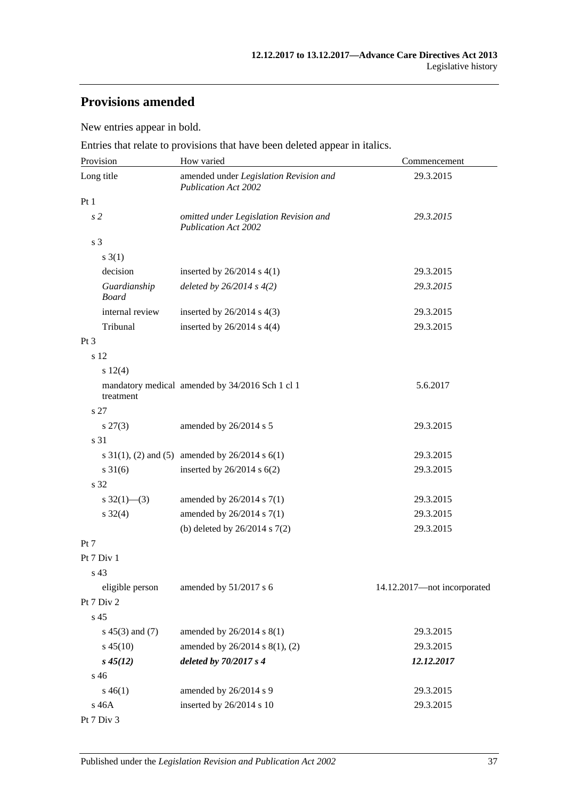# **Provisions amended**

New entries appear in bold.

Entries that relate to provisions that have been deleted appear in italics.

| Provision                    | How varied                                                            | Commencement                |  |
|------------------------------|-----------------------------------------------------------------------|-----------------------------|--|
| Long title                   | amended under Legislation Revision and<br><b>Publication Act 2002</b> | 29.3.2015                   |  |
| Pt <sub>1</sub>              |                                                                       |                             |  |
| s <sub>2</sub>               | omitted under Legislation Revision and<br><b>Publication Act 2002</b> | 29.3.2015                   |  |
| s <sub>3</sub>               |                                                                       |                             |  |
| s(1)                         |                                                                       |                             |  |
| decision                     | inserted by $26/2014$ s $4(1)$                                        | 29.3.2015                   |  |
| Guardianship<br><b>Board</b> | deleted by $26/2014 s 4(2)$                                           | 29.3.2015                   |  |
| internal review              | inserted by $26/2014$ s $4(3)$                                        | 29.3.2015                   |  |
| Tribunal                     | inserted by $26/2014$ s $4(4)$                                        | 29.3.2015                   |  |
| Pt <sub>3</sub>              |                                                                       |                             |  |
| s 12                         |                                                                       |                             |  |
| s 12(4)                      |                                                                       |                             |  |
| treatment                    | mandatory medical amended by 34/2016 Sch 1 cl 1                       | 5.6.2017                    |  |
| s 27                         |                                                                       |                             |  |
| $s\,27(3)$                   | amended by 26/2014 s 5                                                | 29.3.2015                   |  |
| s 31                         |                                                                       |                             |  |
|                              | s $31(1)$ , (2) and (5) amended by $26/2014$ s $6(1)$                 | 29.3.2015                   |  |
| $s \, 31(6)$                 | inserted by $26/2014$ s $6(2)$                                        | 29.3.2015                   |  |
| s 32                         |                                                                       |                             |  |
| s $32(1)$ —(3)               | amended by $26/2014$ s $7(1)$                                         | 29.3.2015                   |  |
| $s \, 32(4)$                 | amended by 26/2014 s 7(1)                                             | 29.3.2015                   |  |
|                              | (b) deleted by $26/2014$ s $7(2)$                                     | 29.3.2015                   |  |
| Pt 7                         |                                                                       |                             |  |
| Pt 7 Div 1                   |                                                                       |                             |  |
| s 43                         |                                                                       |                             |  |
| eligible person              | amended by 51/2017 s 6                                                | 14.12.2017-not incorporated |  |
| Pt 7 Div 2                   |                                                                       |                             |  |
| s 45                         |                                                                       |                             |  |
| $s\ 45(3)$ and (7)           | amended by 26/2014 s 8(1)                                             | 29.3.2015                   |  |
| $s\,45(10)$                  | amended by 26/2014 s 8(1), (2)                                        | 29.3.2015                   |  |
| $s\,45(12)$                  | deleted by 70/2017 s 4                                                | 12.12.2017                  |  |
| s 46                         |                                                                       |                             |  |
| $s\,46(1)$                   | amended by 26/2014 s 9                                                | 29.3.2015                   |  |
| s 46A                        | inserted by 26/2014 s 10                                              | 29.3.2015                   |  |
| Pt 7 Div 3                   |                                                                       |                             |  |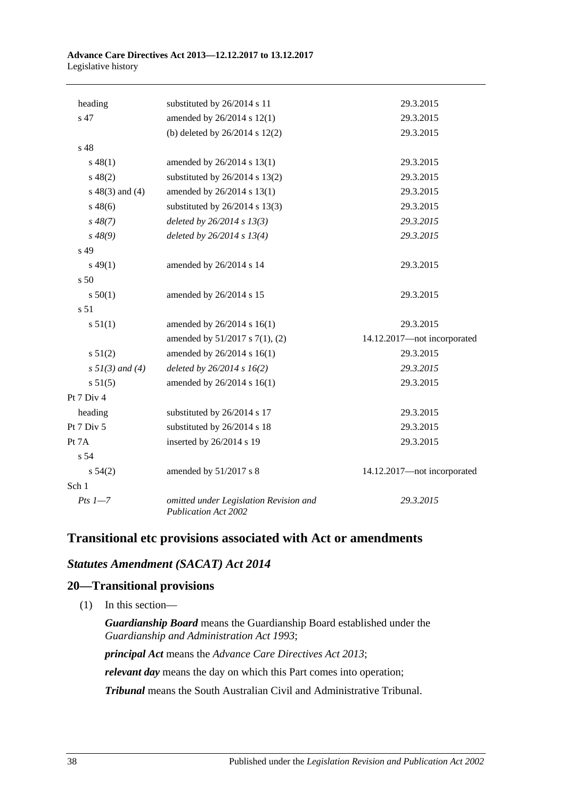#### **Advance Care Directives Act 2013—12.12.2017 to 13.12.2017** Legislative history

| heading              | substituted by 26/2014 s 11                                           | 29.3.2015                   |
|----------------------|-----------------------------------------------------------------------|-----------------------------|
| s 47                 | amended by 26/2014 s 12(1)                                            | 29.3.2015                   |
|                      | (b) deleted by $26/2014$ s $12(2)$                                    | 29.3.2015                   |
| s 48                 |                                                                       |                             |
| $s\,48(1)$           | amended by 26/2014 s 13(1)                                            | 29.3.2015                   |
| $s\ 48(2)$           | substituted by $26/2014$ s 13(2)                                      | 29.3.2015                   |
| $s\ 48(3)$ and (4)   | amended by 26/2014 s 13(1)                                            | 29.3.2015                   |
| $s\,48(6)$           | substituted by $26/2014$ s 13(3)                                      | 29.3.2015                   |
| $s\,48(7)$           | deleted by $26/2014 s 13(3)$                                          | 29.3.2015                   |
| $s\,48(9)$           | deleted by $26/2014 s 13(4)$                                          | 29.3.2015                   |
| s 49                 |                                                                       |                             |
| $s\,49(1)$           | amended by 26/2014 s 14                                               | 29.3.2015                   |
| s <sub>50</sub>      |                                                                       |                             |
| s 50(1)              | amended by 26/2014 s 15                                               | 29.3.2015                   |
| s 51                 |                                                                       |                             |
| s 51(1)              | amended by 26/2014 s 16(1)                                            | 29.3.2015                   |
|                      | amended by 51/2017 s 7(1), (2)                                        | 14.12.2017-not incorporated |
| s 51(2)              | amended by 26/2014 s 16(1)                                            | 29.3.2015                   |
| $s \, 51(3)$ and (4) | deleted by $26/2014 s 16(2)$                                          | 29.3.2015                   |
| s 51(5)              | amended by 26/2014 s 16(1)                                            | 29.3.2015                   |
| Pt 7 Div 4           |                                                                       |                             |
| heading              | substituted by 26/2014 s 17                                           | 29.3.2015                   |
| Pt 7 Div 5           | substituted by 26/2014 s 18                                           | 29.3.2015                   |
| Pt 7A                | inserted by 26/2014 s 19                                              | 29.3.2015                   |
| s 54                 |                                                                       |                             |
| $s\,54(2)$           | amended by 51/2017 s 8                                                | 14.12.2017-not incorporated |
| Sch 1                |                                                                       |                             |
| $Pts 1 - 7$          | omitted under Legislation Revision and<br><b>Publication Act 2002</b> | 29.3.2015                   |
|                      |                                                                       |                             |

## **Transitional etc provisions associated with Act or amendments**

## *Statutes Amendment (SACAT) Act 2014*

## **20—Transitional provisions**

(1) In this section—

*Guardianship Board* means the Guardianship Board established under the *[Guardianship and Administration Act](http://www.legislation.sa.gov.au/index.aspx?action=legref&type=act&legtitle=Guardianship%20and%20Administration%20Act%201993) 1993*;

*principal Act* means the *[Advance Care Directives Act](http://www.legislation.sa.gov.au/index.aspx?action=legref&type=act&legtitle=Advance%20Care%20Directives%20Act%202013) 2013*;

*relevant day* means the day on which this Part comes into operation;

*Tribunal* means the South Australian Civil and Administrative Tribunal.